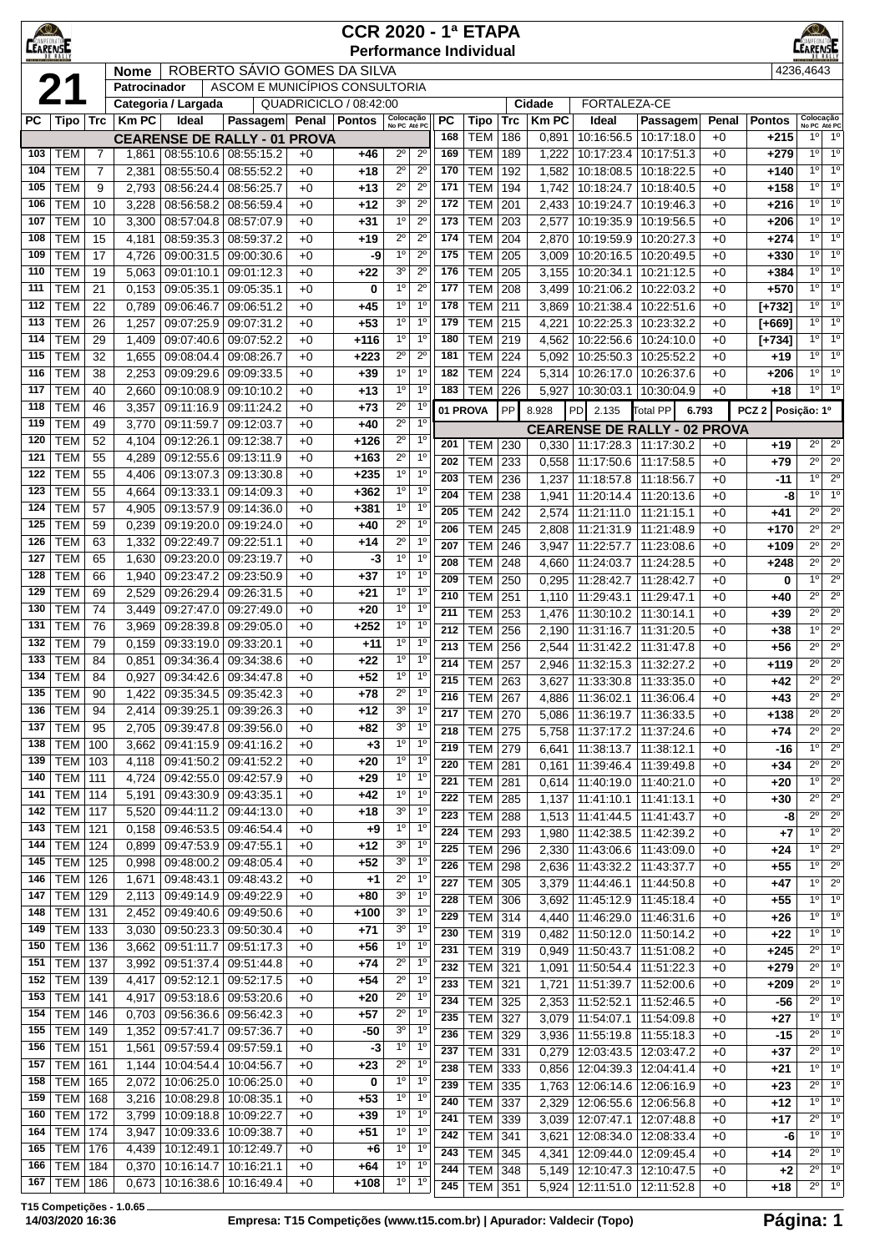|            | $\bigcirc$<br>$\circledcirc$<br><b>CCR 2020 - 1ª ETAPA</b><br>CAMPEONA<br><b>CEARENSE</b><br>EARENSE<br><b>Performance Individual</b><br>4236,4643 |                                                                                                  |                |                                     |                                                                    |              |                  |                                  |                                  |            |                              |                   |                       |                                           |                                     |               |                         |                                          |                                  |
|------------|----------------------------------------------------------------------------------------------------------------------------------------------------|--------------------------------------------------------------------------------------------------|----------------|-------------------------------------|--------------------------------------------------------------------|--------------|------------------|----------------------------------|----------------------------------|------------|------------------------------|-------------------|-----------------------|-------------------------------------------|-------------------------------------|---------------|-------------------------|------------------------------------------|----------------------------------|
|            |                                                                                                                                                    | ROBERTO SÁVIO GOMES DA SILVA<br><b>Nome</b>                                                      |                |                                     |                                                                    |              |                  |                                  |                                  |            |                              |                   |                       |                                           |                                     |               |                         |                                          |                                  |
|            | 21<br>ASCOM E MUNICÍPIOS CONSULTORIA<br>Patrocinador                                                                                               |                                                                                                  |                |                                     |                                                                    |              |                  |                                  |                                  |            |                              |                   |                       |                                           |                                     |               |                         |                                          |                                  |
|            |                                                                                                                                                    | QUADRICICLO / 08:42:00<br>FORTALEZA-CE<br>Categoria / Largada<br>Cidade<br>Passagem Penal Pontos |                |                                     |                                                                    |              |                  |                                  |                                  |            |                              |                   |                       |                                           |                                     |               |                         |                                          |                                  |
| PС         | Tipo   Trc                                                                                                                                         |                                                                                                  | <b>Km PC</b>   | Ideal                               |                                                                    |              |                  | Colocação<br>No PC Até PC        |                                  | PC<br>168  | <b>Tipo</b><br><b>TEM</b>    | <b>Trc</b><br>186 | <b>Km PC</b><br>0,891 | Ideal<br>10:16:56.5                       | Passagem<br>10:17:18.0              | Penal<br>$+0$ | <b>Pontos</b><br>$+215$ | Colocação<br>No PC Até PC<br>$1^{\circ}$ | 1 <sup>0</sup>                   |
| 103        | <b>TEM</b>                                                                                                                                         | 7                                                                                                | 1,861          |                                     | <b>CEARENSE DE RALLY - 01 PROVA</b><br>08:55:10.6 08:55:15.2       | $+0$         | +46              | $2^{\circ}$                      | $2^{\circ}$                      | 169        | <b>TEM</b>                   | 189               | 1,222                 | 10:17:23.4                                | 10:17:51.3                          | $+0$          | $+279$                  | 10                                       | 1 <sup>0</sup>                   |
| 104        | <b>TEM</b>                                                                                                                                         | 7                                                                                                | 2,381          | 08:55:50.4                          | 08:55:52.2                                                         | $+0$         | $+18$            | $2^{\circ}$                      | $2^{\circ}$                      | 170        | <b>TEM</b>                   | 192               | 1,582                 | 10:18:08.5                                | 10:18:22.5                          | $+0$          | $+140$                  | $1^{\circ}$                              | 1 <sup>0</sup>                   |
| 105        | <b>TEM</b>                                                                                                                                         | 9                                                                                                | 2,793          | 08:56:24.4                          | 08:56:25.7                                                         | $+0$         | +13              | $2^{\circ}$                      | $2^{\circ}$                      | 171        | <b>TEM</b>                   | 194               | 1,742                 | 10:18:24.7                                | 10:18:40.5                          | $+0$          | $+158$                  | 1 <sup>0</sup>                           | 1 <sup>0</sup>                   |
| 106        | <b>TEM</b>                                                                                                                                         | 10                                                                                               | 3,228          | 08:56:58.2                          | 08:56:59.4                                                         | $+0$         | +12              | 3 <sup>o</sup>                   | $2^{\circ}$                      | 172        | <b>TEM</b>                   | 201               | 2,433                 | 10:19:24.7                                | 10:19:46.3                          | $+0$          | $+216$                  | 1 <sup>0</sup>                           | 1 <sup>0</sup>                   |
| 107        | <b>TEM</b>                                                                                                                                         | 10                                                                                               | 3,300          | 08:57:04.8                          | 08:57:07.9                                                         | $+0$         | +31              | 1 <sup>0</sup>                   | $2^{\circ}$                      | 173        | <b>TEM</b>                   | 203               | 2,577                 | 10:19:35.9                                | 10:19:56.5                          | $+0$          | $+206$                  | 10                                       | 1 <sup>0</sup>                   |
| 108        | <b>TEM</b>                                                                                                                                         | 15                                                                                               | 4,181          | 08:59:35.3                          | 08:59:37.2                                                         | $+0$         | +19              | $2^{\circ}$                      | $2^{\circ}$                      | 174        | <b>TEM</b>                   | 204               | 2,870                 | 10:19:59.9                                | 10:20:27.3                          | $+0$          | $+274$                  | $1^{\circ}$                              | 1 <sup>0</sup>                   |
| 109        | <b>TEM</b>                                                                                                                                         | 17                                                                                               | 4,726          | 09:00:31.5                          | 09:00:30.6                                                         | $+0$         | -9               | $1^{\circ}$                      | $2^{\circ}$                      | 175        | <b>TEM</b>                   | 205               | 3,009                 | 10:20:16.5                                | 10:20:49.5                          | $+0$          | $+330$                  | 1 <sup>0</sup>                           | 1 <sup>0</sup>                   |
| 110<br>111 | <b>TEM</b><br><b>TEM</b>                                                                                                                           | 19<br>21                                                                                         | 5,063<br>0,153 | 09:01:10.1<br>09:05:35.1            | 09:01:12.3<br>09:05:35.1                                           | $+0$<br>$+0$ | +22<br>0         | 3 <sup>o</sup><br>$1^{\circ}$    | $2^{\circ}$<br>$2^{\circ}$       | 176<br>177 | <b>TEM</b><br><b>TEM</b>     | 205<br>208        | 3,155<br>3,499        | 10:20:34.1<br>10:21:06.2                  | 10:21:12.5<br>10:22:03.2            | $+0$<br>$+0$  | $+384$<br>$+570$        | 1 <sup>0</sup><br>1 <sup>0</sup>         | 1 <sup>0</sup><br>1 <sup>o</sup> |
| 112        | <b>TEM</b>                                                                                                                                         | 22                                                                                               | 0,789          | 09:06:46.7                          | 09:06:51.2                                                         | $+0$         | +45              | $1^{\circ}$                      | $1^{\circ}$                      | 178        | <b>TEM</b>                   | 211               | 3,869                 | 10:21:38.4                                | 10:22:51.6                          | $+0$          | $[+732]$                | 1 <sup>0</sup>                           | 1 <sup>0</sup>                   |
| 113        | <b>TEM</b>                                                                                                                                         | 26                                                                                               | 1,257          | 09:07:25.9                          | 09:07:31.2                                                         | $+0$         | $+53$            | $1^{\circ}$                      | $1^{\circ}$                      | 179        | <b>TEM</b>                   | 215               | 4,221                 | 10:22:25.3                                | 10:23:32.2                          | $+0$          | $[+669]$                | 1 <sup>0</sup>                           | 1 <sup>0</sup>                   |
| 114        | <b>TEM</b>                                                                                                                                         | 29                                                                                               | 1,409          | 09:07:40.6                          | 09:07:52.2                                                         | $+0$         | $+116$           | $1^{\circ}$                      | $1^{\circ}$                      | 180        | <b>TEM</b>                   | 219               | 4,562                 | 10:22:56.6                                | 10:24:10.0                          | $+0$          | $[+734]$                | 1 <sup>0</sup>                           | $1^{\circ}$                      |
| 115        | <b>TEM</b>                                                                                                                                         | 32                                                                                               | 1,655          | 09:08:04.4                          | 09:08:26.7                                                         | $+0$         | $+223$           | $2^{\circ}$                      | $2^{\circ}$                      | 181        | <b>TEM</b>                   | 224               | 5,092                 | 10:25:50.3                                | 10:25:52.2                          | $+0$          | $+19$                   | 1 <sup>0</sup>                           | 1 <sup>0</sup>                   |
| 116        | <b>TEM</b>                                                                                                                                         | 38                                                                                               | 2,253          | 09:09:29.6                          | 09:09:33.5                                                         | $+0$         | $+39$            | $1^{\circ}$                      | 1 <sup>0</sup>                   | 182        | <b>TEM</b>                   | 224               | 5,314                 | 10:26:17.0                                | 10:26:37.6                          | $+0$          | $+206$                  | $1^{\circ}$                              | 1 <sup>0</sup>                   |
| 117        | <b>TEM</b>                                                                                                                                         | 40                                                                                               | 2,660          | 09:10:08.9                          | 09:10:10.2                                                         | $+0$         | +13              | $1^{\circ}$                      | 1 <sup>0</sup>                   | 183        | <b>TEM</b>                   | 226               | 5,927                 | 10:30:03.1                                | 10:30:04.9                          | $+0$          | +18                     | $1^{\circ}$                              | 1 <sup>0</sup>                   |
| 118        | <b>TEM</b>                                                                                                                                         | 46                                                                                               | 3,357          | 09:11:16.9                          | 09:11:24.2                                                         | $+0$         | $+73$            | $2^{\circ}$                      | $1^{\circ}$                      |            | 01 PROVA                     | PP                | 8.928                 | PD<br>2.135                               | <b>Total PP</b><br>6.793            |               | PCZ <sub>2</sub>        | Posição: 1º                              |                                  |
| 119        | <b>TEM</b>                                                                                                                                         | 49                                                                                               | 3,770          | 09:11:59.7                          | 09:12:03.7                                                         | $+0$         | +40              | $2^{\circ}$                      | 1 <sup>0</sup>                   |            |                              |                   |                       |                                           | <b>CEARENSE DE RALLY - 02 PROVA</b> |               |                         |                                          |                                  |
| 120<br>121 | <b>TEM</b><br><b>TEM</b>                                                                                                                           | 52<br>55                                                                                         | 4,104          | 09:12:26.1                          | 09:12:38.7                                                         | $+0$         | $+126$           | $\overline{2^0}$<br>$2^{\circ}$  | 1 <sup>0</sup><br>1 <sup>0</sup> | 201        | TEM                          | 230               | 0,330                 | 11:17:28.3                                | 11:17:30.2                          | $+0$          | $+19$                   | $2^{\circ}$                              | $2^{\circ}$                      |
| 122        | <b>TEM</b>                                                                                                                                         | 55                                                                                               | 4,289<br>4,406 | 09:12:55.6<br>09:13:07.3            | 09:13:11.9<br>09:13:30.8                                           | $+0$<br>$+0$ | $+163$<br>$+235$ | 1 <sup>0</sup>                   | 1 <sup>0</sup>                   | 202        | <b>TEM</b>                   | 233               | 0,558                 | 11:17:50.6                                | 11:17:58.5                          | $+0$          | $+79$                   | $\overline{2^{\circ}}$                   | $2^{\circ}$                      |
| 123        | <b>TEM</b>                                                                                                                                         | 55                                                                                               | 4,664          | 09:13:33.1                          | 09:14:09.3                                                         | $+0$         | $+362$           | 1 <sup>o</sup>                   | $1^{\circ}$                      | 203<br>204 | <b>TEM</b>                   | 236               | 1,237                 | 11:18:57.8                                | 11:18:56.7                          | $+0$          | -11                     | $1^{\circ}$<br>1 <sup>0</sup>            | $2^{\circ}$<br>1 <sup>0</sup>    |
| 124        | <b>TEM</b>                                                                                                                                         | 57                                                                                               | 4,905          | 09:13:57.9                          | 09:14:36.0                                                         | $+0$         | +381             | $1^{\circ}$                      | $1^{\circ}$                      | 205        | <b>TEM</b><br><b>TEM</b>     | 238<br>242        | 1,941<br>2,574        | 11:20:14.4<br>11:21:11.0                  | 11:20:13.6<br>11:21:15.1            | $+0$<br>$+0$  | -8<br>$+41$             | $2^{\circ}$                              | $2^{\circ}$                      |
| 125        | <b>TEM</b>                                                                                                                                         | 59                                                                                               | 0,239          | 09:19:20.0                          | 09:19:24.0                                                         | $+0$         | +40              | $2^{\circ}$                      | 1 <sup>0</sup>                   | 206        | <b>TEM</b>                   | 245               | 2,808                 | 11:21:31.9                                | 11:21:48.9                          | $+0$          | $+170$                  | $2^{\circ}$                              | $\overline{2^0}$                 |
| 126        | <b>TEM</b>                                                                                                                                         | 63                                                                                               | 1,332          | 09:22:49.7                          | 09:22:51.1                                                         | $+0$         | +14              | $2^{\circ}$                      | $1^{\circ}$                      | 207        | <b>TEM</b>                   | 246               | 3,947                 | 11:22:57.7                                | 11:23:08.6                          | $+0$          | $+109$                  | $2^{\circ}$                              | $\overline{2^{\circ}}$           |
| 127        | <b>TEM</b>                                                                                                                                         | 65                                                                                               | 1,630          | 09:23:20.0                          | 09:23:19.7                                                         | $+0$         | -3               | $1^{\circ}$                      | $1^{\circ}$                      | 208        | <b>TEM</b>                   | 248               | 4,660                 | 11:24:03.7                                | 11:24:28.5                          | $+0$          | $+248$                  | $2^{\circ}$                              | $2^{\circ}$                      |
| 128        | <b>TEM</b>                                                                                                                                         | 66                                                                                               | 1,940          | 09:23:47.2                          | 09:23:50.9                                                         | $+0$         | +37              | $1^{\circ}$                      | $1^{\circ}$                      | 209        | <b>TEM</b>                   | 250               | 0,295                 | 11:28:42.7                                | 11:28:42.7                          | $+0$          | 0                       | 10                                       | $2^{\circ}$                      |
| 129        | <b>TEM</b>                                                                                                                                         | 69                                                                                               | 2,529          | 09:26:29.4                          | 09:26:31.5                                                         | $+0$         | +21              | $1^{\circ}$                      | 1 <sup>0</sup>                   | 210        | <b>TEM</b>                   | 251               | 1,110                 | 11:29:43.1                                | 11:29:47.1                          | $+0$          | $+40$                   | $2^{\circ}$                              | $2^{\circ}$                      |
| 130<br>131 | <b>TEM</b><br><b>TEM</b>                                                                                                                           | 74                                                                                               | 3,449          | 09:27:47.0                          | 09:27:49.0                                                         | $+0$         | +20              | $1^{\circ}$<br>$1^{\circ}$       | $1^{\circ}$<br>$1^{\circ}$       | 211        | <b>TEM</b>                   | 253               | 1,476                 | 11:30:10.2                                | 11:30:14.1                          | $+0$          | $+39$                   | $\overline{2^{\circ}}$                   | $2^{\circ}$                      |
| 132        | <b>TEM</b>                                                                                                                                         | 76<br>79                                                                                         | 3,969<br>0,159 | 09:28:39.8<br>09:33:19.0 09:33:20.1 | 09:29:05.0                                                         | $+0$<br>$+0$ | $+252$<br>$+11$  | $1^{\circ}$                      | 1 <sup>0</sup>                   | 212        | <b>TEM</b>                   | 256               | 2,190                 | 11:31:16.7                                | 11:31:20.5                          | $+0$          | $+38$                   | 1 <sup>0</sup>                           | $2^{\circ}$                      |
| 133        | <b>TEM</b>                                                                                                                                         | 84                                                                                               | 0,851          | 09:34:36.4                          | 09:34:38.6                                                         | $+0$         | +22              | $1^{\circ}$                      | 1 <sup>0</sup>                   | 213<br>214 | <b>TEM</b>                   | 256               | 2,544                 | 11:31:42.2                                | 11:31:47.8                          | $+0$          | +56                     | $2^{\circ}$<br>$2^{\circ}$               | $2^{\circ}$<br>$2^{\circ}$       |
| 134        | <b>TEM</b>                                                                                                                                         | 84                                                                                               | 0,927          |                                     | 09:34:42.6 09:34:47.8                                              | $+0$         | $+52$            | 1 <sup>0</sup>                   | 1 <sup>0</sup>                   | 215        | <b>TEM</b><br><b>TEM 263</b> | 257               | 2,946                 | 11:32:15.3<br>3,627 11:33:30.8 11:33:35.0 | 11:32:27.2                          | $+0$<br>$+0$  | +119<br>$+42$           | $\overline{2^{\circ}}$                   | $\overline{2^{\circ}}$           |
| 135        | TEM                                                                                                                                                | 90                                                                                               | 1,422          |                                     | 09:35:34.5   09:35:42.3                                            | $+0$         | +78              | $2^{\circ}$                      | $1^{\circ}$                      | 216        | <b>TEM 267</b>               |                   | 4,886                 |                                           | 11:36:02.1   11:36:06.4             | $+0$          | +43                     | $2^{\circ}$                              | $2^{\circ}$                      |
| 136        | <b>TEM</b>                                                                                                                                         | 94                                                                                               | 2,414          | 09:39:25.1                          | 09:39:26.3                                                         | $+0$         | $+12$            | 3 <sup>o</sup>                   | $1^{\circ}$                      | 217        | <b>TEM 270</b>               |                   | 5,086                 | 11:36:19.7                                | 11:36:33.5                          | $+0$          | $+138$                  | $2^{\circ}$                              | $2^{\circ}$                      |
| 137        | <b>TEM</b>                                                                                                                                         | 95                                                                                               | 2,705          | 09:39:47.8                          | 09:39:56.0                                                         | $+0$         | +82              | 3 <sup>o</sup>                   | $1^{\circ}$                      | 218        | <b>TEM 275</b>               |                   | 5,758                 | 11:37:17.2                                | 11:37:24.6                          | $+0$          | +74                     | $2^{\circ}$                              | $2^{\circ}$                      |
| 138        | TEM                                                                                                                                                | 100                                                                                              | 3,662          |                                     | 09:41:15.9 09:41:16.2                                              | $+0$         | +3               | $1^{\circ}$                      | $1^{\circ}$                      | 219        | <b>TEM 279</b>               |                   | 6,641                 | 11:38:13.7                                | 11:38:12.1                          | $+0$          | -16                     | $1^{\circ}$                              | $\overline{2^0}$                 |
| 139        | <b>TEM   103</b>                                                                                                                                   |                                                                                                  | 4,118          | 09:41:50.2                          | 09:41:52.2                                                         | $+0$         | $+20$            | $1^{\circ}$                      | $1^{\circ}$                      | 220        | TEM                          | 281               | 0,161                 | 11:39:46.4                                | 11:39:49.8                          | $+0$          | $+34$                   | $2^{\circ}$                              | $2^{\circ}$                      |
| 140<br>141 | <b>TEM 111</b><br><b>TEM 114</b>                                                                                                                   |                                                                                                  | 4,724<br>5,191 |                                     | 09:42:55.0 09:42:57.9<br>09:43:30.9 09:43:35.1                     | $+0$<br>$+0$ | +29<br>$+42$     | $1^{\circ}$<br>1 <sup>0</sup>    | $1^{\circ}$<br>$1^{\circ}$       | 221        | <b>TEM</b>                   | 281               | 0,614                 | 11:40:19.0                                | 11:40:21.0                          | $+0$          | +20                     | $1^{\circ}$                              | $2^{\circ}$                      |
| 142        | <b>TEM 117</b>                                                                                                                                     |                                                                                                  | 5,520          | 09:44:11.2                          | 09:44:13.0                                                         | $+0$         | +18              | 3 <sup>o</sup>                   | $1^{\circ}$                      | 222        | <b>TEM</b>                   | 285               | 1,137                 | 11:41:10.1                                | 11:41:13.1                          | $+0$          | +30                     | $2^{\circ}$<br>$2^{\circ}$               | $2^{\circ}$<br>$\overline{2^0}$  |
| 143        | <b>TEM 121</b>                                                                                                                                     |                                                                                                  | 0,158          |                                     | 09:46:53.5 09:46:54.4                                              | $+0$         | +9               | 1 <sup>0</sup>                   | 1 <sup>0</sup>                   | 223<br>224 | <b>TEM</b><br><b>TEM</b>     | 288<br>293        | 1,513<br>1,980        | 11:41:44.5<br>11:42:38.5                  | 11:41:43.7<br>11:42:39.2            | $+0$<br>$+0$  | -8<br>$+7$              | $1^{\circ}$                              | $2^{\circ}$                      |
| 144        | <b>TEM 124</b>                                                                                                                                     |                                                                                                  | 0,899          | 09:47:53.9                          | 09:47:55.1                                                         | $+0$         | $+12$            | 3 <sup>o</sup>                   | 1 <sup>o</sup>                   | 225        | <b>TEM 296</b>               |                   | 2,330                 | 11:43:06.6                                | 11:43:09.0                          | $+0$          | +24                     | $1^{\circ}$                              | $2^{\circ}$                      |
| 145        | <b>TEM 125</b>                                                                                                                                     |                                                                                                  | 0,998          | 09:48:00.2                          | 09:48:05.4                                                         | $+0$         | +52              | 3 <sup>o</sup>                   | $1^{\circ}$                      | 226        | <b>TEM 298</b>               |                   | 2,636                 |                                           | 11:43:32.2 11:43:37.7               | $+0$          | $+55$                   | 10                                       | $2^{\circ}$                      |
| 146        | <b>TEM 126</b>                                                                                                                                     |                                                                                                  | 1,671          | 09:48:43.1                          | 09:48:43.2                                                         | $+0$         | $+1$             | $2^{\circ}$                      | $1^{\circ}$                      | 227        | <b>TEM</b>                   | 305               | 3,379                 | 11:44:46.1                                | 11:44:50.8                          | $+0$          | +47                     | $1^{\circ}$                              | $2^{\circ}$                      |
| 147        | <b>TEM 129</b>                                                                                                                                     |                                                                                                  | 2,113          |                                     | 09:49:14.9 09:49:22.9                                              | $+0$         | +80              | $3o$                             | $1^{\circ}$                      | 228        | <b>TEM</b>                   | 306               | 3,692                 | 11:45:12.9                                | 11:45:18.4                          | $+0$          | $+55$                   | $1^{\circ}$                              | 1 <sup>0</sup>                   |
| 148        | <b>TEM 131</b>                                                                                                                                     |                                                                                                  | 2,452          |                                     | 09:49:40.6 09:49:50.6                                              | $+0$         | $+100$           | 3 <sup>o</sup>                   | 1 <sup>o</sup>                   | 229        | <b>TEM 314</b>               |                   | 4,440                 | 11:46:29.0                                | 11:46:31.6                          | $+0$          | $+26$                   | 1 <sup>0</sup>                           | 1 <sup>0</sup>                   |
| 149        | TEM   133                                                                                                                                          |                                                                                                  | 3,030          |                                     | 09:50:23.3 09:50:30.4                                              | $+0$         | $+71$            | 3 <sup>o</sup><br>1 <sup>0</sup> | 1 <sup>o</sup><br>$1^{\circ}$    | 230        | <b>TEM 319</b>               |                   | 0,482                 | 11:50:12.0                                | 11:50:14.2                          | $+0$          | $+22$                   | 10                                       | 1 <sup>0</sup>                   |
| 150<br>151 | <b>TEM 136</b><br><b>TEM 137</b>                                                                                                                   |                                                                                                  |                |                                     | 3,662   09:51:11.7   09:51:17.3<br>3,992   09:51:37.4   09:51:44.8 | $+0$<br>$+0$ | $+56$<br>$+74$   | $2^{\circ}$                      | $1^{\circ}$                      | 231        | TEM 319                      |                   | 0,949                 | 11:50:43.7                                | 11:51:08.2                          | $+0$          | $+245$                  | $2^{\circ}$                              | 1 <sup>o</sup>                   |
| 152        | <b>TEM</b> 139                                                                                                                                     |                                                                                                  | 4,417          |                                     | 09:52:12.1 09:52:17.5                                              | $+0$         | $+54$            | $2^{\circ}$                      | 1 <sup>0</sup>                   | 232        | <b>TEM</b>                   | 321               | 1,091                 | 11:50:54.4                                | 11:51:22.3                          | $+0$          | $+279$                  | $2^{\circ}$                              | $1^{\circ}$                      |
| 153        | <b>TEM 141</b>                                                                                                                                     |                                                                                                  | 4,917          | 09:53:18.6                          | 09:53:20.6                                                         | $+0$         | $+20$            | $2^{\circ}$                      | 1 <sup>0</sup>                   | 233<br>234 | <b>TEM</b>                   | 321               | 1,721                 | 11:51:39.7                                | 11:52:00.6                          | $+0$          | $+209$                  | $2^{\circ}$<br>$2^{\circ}$               | 1 <sup>0</sup><br>1 <sup>o</sup> |
| 154        | <b>TEM   146</b>                                                                                                                                   |                                                                                                  | 0,703          |                                     | 09:56:36.6 09:56:42.3                                              | $+0$         | +57              | $2^{\circ}$                      | $1^{\circ}$                      | 235        | TEM 325<br><b>TEM 327</b>    |                   | 2,353<br>3,079        | 11:52:52.1<br>11:54:07.1                  | 11:52:46.5<br>11:54:09.8            | $+0$<br>$+0$  | -56<br>$+27$            | $1^{\circ}$                              | $1^{\circ}$                      |
| 155        | <b>TEM 149</b>                                                                                                                                     |                                                                                                  | 1,352          | 09:57:41.7                          | 09:57:36.7                                                         | $+0$         | $-50$            | 3 <sup>o</sup>                   | 1 <sup>0</sup>                   | 236        | <b>TEM 329</b>               |                   | 3,936                 | 11:55:19.8                                | 11:55:18.3                          | $+0$          | $-15$                   | $2^{\circ}$                              | 1 <sup>0</sup>                   |
| 156        | <b>TEM 151</b>                                                                                                                                     |                                                                                                  | 1,561          | 09:57:59.4                          | 09:57:59.1                                                         | $+0$         | -3               | $1^{\circ}$                      | 1 <sup>0</sup>                   | 237        | <b>TEM</b>                   | 331               | 0,279                 | 12:03:43.5                                | 12:03:47.2                          | $+0$          | $+37$                   | $2^{\circ}$                              | 1 <sup>0</sup>                   |
| 157        | <b>TEM 161</b>                                                                                                                                     |                                                                                                  | 1,144          | 10:04:54.4                          | 10:04:56.7                                                         | $+0$         | $+23$            | $2^{\circ}$                      | $1^{\circ}$                      | 238        | <b>TEM</b>                   | 333               | 0,856                 | 12:04:39.3                                | 12:04:41.4                          | $+0$          | +21                     | $1^{\circ}$                              | 1 <sup>0</sup>                   |
| 158        | <b>TEM 165</b>                                                                                                                                     |                                                                                                  | 2,072          |                                     | 10:06:25.0   10:06:25.0                                            | $+0$         | 0                | $\overline{6}$                   | 1 <sup>0</sup>                   | 239        | <b>TEM</b>                   | 335               | 1,763                 | 12:06:14.6                                | 12:06:16.9                          | $+0$          | +23                     | $2^{\circ}$                              | 1 <sup>o</sup>                   |
| 159        | <b>TEM 168</b>                                                                                                                                     |                                                                                                  | 3,216          |                                     | 10:08:29.8   10:08:35.1                                            | $+0$         | $+53$            | 1 <sup>0</sup>                   | $1^{\circ}$                      | 240        | <b>TEM</b>                   | 337               | 2,329                 |                                           | 12:06:55.6   12:06:56.8             | $+0$          | +12                     | $1^{\circ}$                              | $1^{\circ}$                      |
| 160<br>164 | <b>TEM 172</b><br>$TEM$ 174                                                                                                                        |                                                                                                  | 3,799          |                                     | 10:09:18.8 10:09:22.7<br>10:09:33.6   10:09:38.7                   | $+0$         | $+39$            | 1 <sup>0</sup><br>$1^{\circ}$    | $1^{\circ}$<br>$1^{\circ}$       | 241        | <b>TEM</b>                   | 339               | 3,039                 | 12:07:47.1                                | 12:07:48.8                          | $+0$          | +17                     | $2^{\circ}$                              | 1 <sup>0</sup>                   |
| 165        | <b>TEM   176</b>                                                                                                                                   |                                                                                                  | 3,947<br>4,439 |                                     | 10:12:49.1   10:12:49.7                                            | $+0$<br>$+0$ | +51<br>+6        | 1 <sup>0</sup>                   | 1 <sup>0</sup>                   | 242        | TEM                          | 341               | 3,621                 | 12:08:34.0                                | 12:08:33.4                          | $+0$          | -6                      | $1^{\circ}$                              | 1 <sup>0</sup>                   |
| 166        | <b>TEM   184</b>                                                                                                                                   |                                                                                                  | 0,370          | 10:16:14.7                          | 10:16:21.1                                                         | $+0$         | $+64$            | 1 <sup>0</sup>                   | 1 <sup>0</sup>                   | 243<br>244 | <b>TEM</b><br><b>TEM 348</b> | 345               | 4,341<br>5,149        | 12:09:44.0                                | 12:09:45.4                          | $+0$<br>$+0$  | +14<br>$+2$             | $2^{\circ}$<br>$2^{\circ}$               | 1 <sup>o</sup><br>$1^{\circ}$    |
| 167        | <b>TEM 186</b>                                                                                                                                     |                                                                                                  |                | 0,673   10:16:38.6   10:16:49.4     |                                                                    | $+0$         | $+108$           | 1 <sup>0</sup>                   | $1^{\circ}$                      | 245        | <b>TEM 351</b>               |                   | 5,924                 | 12:11:51.0   12:11:52.8                   | 12:10:47.3   12:10:47.5             | $+0$          | $+18$                   | $2^{\circ}$                              | 1 <sup>o</sup>                   |

**T15 Competições - 1.0.65**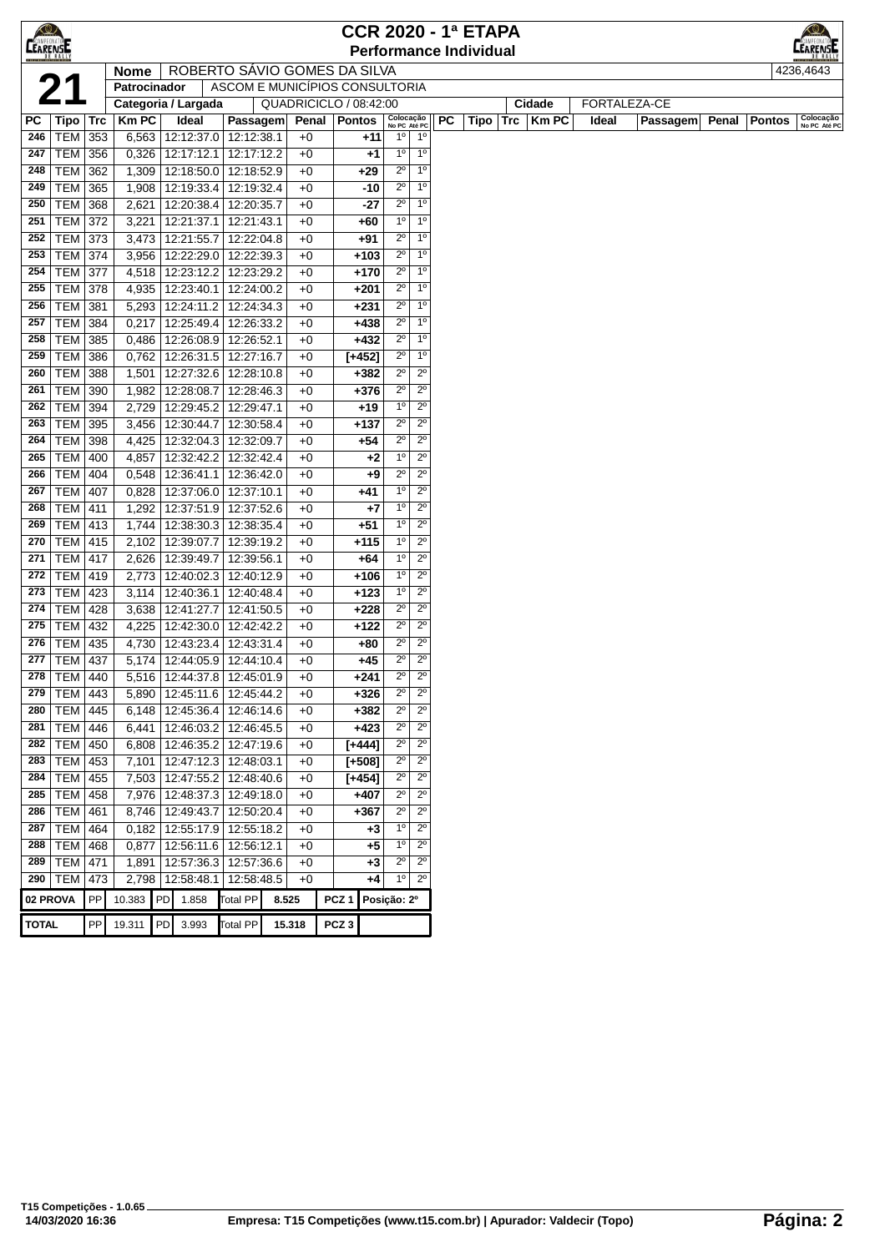| <b>CEARENSE</b> |                                  |     |                     |    |                                 |                                |                        |              |                  |             |                               |                            |    | <b>CCR 2020 - 1ª ETAPA</b>    |     |              |       |              |       |               | ≺©∕                       |
|-----------------|----------------------------------|-----|---------------------|----|---------------------------------|--------------------------------|------------------------|--------------|------------------|-------------|-------------------------------|----------------------------|----|-------------------------------|-----|--------------|-------|--------------|-------|---------------|---------------------------|
|                 |                                  |     |                     |    |                                 |                                |                        |              |                  |             |                               |                            |    | <b>Performance Individual</b> |     |              |       |              |       |               | <b>LEARENATOL</b>         |
|                 |                                  |     | <b>Nome</b>         |    | ROBERTO SAVIO GOMES DA SILVA    |                                |                        |              |                  |             |                               |                            |    |                               |     |              |       |              |       |               | 4236,4643                 |
|                 | 21                               |     | Patrocinador        |    |                                 | ASCOM E MUNICÍPIOS CONSULTORIA |                        |              |                  |             |                               |                            |    |                               |     |              |       |              |       |               |                           |
|                 |                                  |     | Categoria / Largada |    |                                 |                                | QUADRICICLO / 08:42:00 |              |                  |             |                               |                            |    |                               |     | Cidade       |       | FORTALEZA-CE |       |               |                           |
| PС              | Tipo                             | Trc | <b>KmPC</b>         |    | Ideal                           | Passagem                       |                        |              | Penal   Pontos   |             | Colocação<br>No PC Até PC     |                            | РC | Tipo                          | Trc | <b>Km PC</b> | Ideal | Passagem     | Penal | <b>Pontos</b> | Colocação<br>No PC Até PC |
| 246             | $TEM$ 353                        |     | 6,563               |    | 12:12:37.0 12:12:38.1           |                                |                        | $+0$         |                  | +11         | $1^{\circ}$                   | $1^{\circ}$                |    |                               |     |              |       |              |       |               |                           |
| 247             | TEM 356                          |     | 0,326               |    | 12:17:12.1                      | 12:17:12.2                     |                        | $+0$         |                  | $+1$        | 1 <sup>0</sup>                | $1^{\circ}$                |    |                               |     |              |       |              |       |               |                           |
| 248             | <b>TEM 362</b>                   |     | 1,309               |    | 12:18:50.0                      | 12:18:52.9                     |                        | $+0$         |                  | +29         | $2^{\circ}$                   | 1 <sup>0</sup>             |    |                               |     |              |       |              |       |               |                           |
| 249             | <b>TEM</b>                       | 365 | 1,908               |    | 12:19:33.4                      | 12:19:32.4                     |                        | $+0$         |                  | -10         | $2^{\circ}$                   | 1 <sup>0</sup>             |    |                               |     |              |       |              |       |               |                           |
| 250             | <b>TEM</b>                       | 368 | 2,621               |    | 12:20:38.4                      | 12:20:35.7                     |                        | $+0$         |                  | -27         | $2^{\circ}$                   | 1 <sup>0</sup>             |    |                               |     |              |       |              |       |               |                           |
| 251             | <b>TEM 372</b>                   |     | 3,221               |    | 12:21:37.1                      | 12:21:43.1                     |                        | $+0$         |                  | +60         | 1 <sup>0</sup>                | 1 <sup>0</sup>             |    |                               |     |              |       |              |       |               |                           |
| 252             | TEM 373                          |     | 3,473               |    | 12:21:55.7                      | 12:22:04.8                     |                        | $+0$         |                  | +91         | $2^{\circ}$                   | 1 <sup>0</sup>             |    |                               |     |              |       |              |       |               |                           |
| 253             | <b>TEM 374</b>                   |     | 3,956               |    | 12:22:29.0                      | 12:22:39.3                     |                        | $+0$         |                  | $+103$      | $2^{\circ}$                   | 1 <sup>0</sup>             |    |                               |     |              |       |              |       |               |                           |
| 254             | <b>TEM 377</b>                   |     | 4,518               |    | 12:23:12.2                      | 12:23:29.2                     |                        | $+0$         |                  | $+170$      | $2^{\circ}$                   | 1 <sup>0</sup>             |    |                               |     |              |       |              |       |               |                           |
| 255             | <b>TEM 378</b>                   |     | 4,935               |    | 12:23:40.1                      | 12:24:00.2                     |                        | $+0$         |                  | $+201$      | $2^{\circ}$                   | 1 <sup>0</sup>             |    |                               |     |              |       |              |       |               |                           |
| 256             | <b>TEM 381</b>                   |     | 5,293               |    | 12:24:11.2                      | 12:24:34.3                     |                        | $+0$         |                  | $+231$      | $2^{\circ}$                   | 1 <sup>0</sup>             |    |                               |     |              |       |              |       |               |                           |
| 257             | <b>TEM 384</b>                   |     | 0,217               |    | 12:25:49.4                      | 12:26:33.2                     |                        | $+0$         |                  | $+438$      | $2^{\circ}$                   | 1 <sup>0</sup>             |    |                               |     |              |       |              |       |               |                           |
| 258             | <b>TEM</b>                       | 385 | 0,486               |    | 12:26:08.9                      | 12:26:52.1                     |                        | $+0$         |                  | $+432$      | $2^{\circ}$                   | 1 <sup>0</sup>             |    |                               |     |              |       |              |       |               |                           |
| 259             | <b>TEM</b>                       | 386 | 0,762               |    | 12:26:31.5                      | 12:27:16.7                     |                        | $+0$         | $[+452]$         |             | $2^{\circ}$                   | 1 <sup>0</sup>             |    |                               |     |              |       |              |       |               |                           |
| 260             | <b>TEM</b>                       | 388 | 1,501               |    | 12:27:32.6                      | 12:28:10.8                     |                        | $+0$         |                  | $+382$      | $2^{\circ}$                   | $2^{\circ}$                |    |                               |     |              |       |              |       |               |                           |
| 261             | TEM 390                          |     | 1,982               |    | 12:28:08.7                      | 12:28:46.3                     |                        | $+0$         |                  | $+376$      | $2^{\circ}$                   | $2^{\circ}$                |    |                               |     |              |       |              |       |               |                           |
| 262             | <b>TEM 394</b>                   |     | 2,729               |    | 12:29:45.2 12:29:47.1           |                                |                        | $+0$         |                  | $+19$       | $1^{\circ}$                   | $2^{\circ}$                |    |                               |     |              |       |              |       |               |                           |
| 263             | TEM 395                          |     | 3,456               |    | 12:30:44.7   12:30:58.4         |                                |                        | $+0$         |                  | +137        | $2^{\circ}$                   | $2^{\circ}$                |    |                               |     |              |       |              |       |               |                           |
| 264             | <b>TEM 398</b>                   |     | 4,425               |    | 12:32:04.3                      | 12:32:09.7                     |                        | $+0$         |                  | +54         | $2^{\circ}$                   | $2^{\circ}$                |    |                               |     |              |       |              |       |               |                           |
| 265             | <b>TEM 400</b>                   |     | 4,857               |    | 12:32:42.2                      | 12:32:42.4                     |                        | $+0$         |                  | +2          | $1^{\circ}$                   | $2^{\circ}$                |    |                               |     |              |       |              |       |               |                           |
| 266             | <b>TEM   404</b>                 |     | 0,548               |    | 12:36:41.1                      | 12:36:42.0                     |                        | $+0$         |                  | +9          | $2^{\circ}$                   | $2^{\circ}$<br>$2^{\circ}$ |    |                               |     |              |       |              |       |               |                           |
| 267             | <b>TEM 407</b>                   |     | 0,828               |    | 12:37:06.0                      | 12:37:10.1                     |                        | $+0$         |                  | +41         | $1^{\circ}$<br>1 <sup>0</sup> | $2^{\circ}$                |    |                               |     |              |       |              |       |               |                           |
| 268             | TEM                              | 411 | 1,292               |    | 12:37:51.9                      | 12:37:52.6                     |                        | $+0$         |                  | +7          | 1 <sup>0</sup>                | $2^{\circ}$                |    |                               |     |              |       |              |       |               |                           |
| 269<br>270      | <b>TEM 413</b><br><b>TEM 415</b> |     | 1,744               |    | 12:38:30.3                      | 12:38:35.4                     |                        | $+0$         |                  | +51         | 1 <sup>0</sup>                | $2^{\circ}$                |    |                               |     |              |       |              |       |               |                           |
| 271             | <b>TEM 417</b>                   |     | 2,102<br>2,626      |    | 12:39:07.7<br>12:39:49.7        | 12:39:19.2<br>12:39:56.1       |                        | $+0$<br>$+0$ |                  | +115<br>+64 | $1^{\circ}$                   | $2^{\circ}$                |    |                               |     |              |       |              |       |               |                           |
| 272             | TEM   419                        |     | 2,773               |    | 12:40:02.3                      | 12:40:12.9                     |                        | $+0$         |                  | $+106$      | $1^{\circ}$                   | $2^{\circ}$                |    |                               |     |              |       |              |       |               |                           |
| 273             | <b>TEM 423</b>                   |     | 3,114               |    | 12:40:36.1                      | 12:40:48.4                     |                        | $+0$         |                  | $+123$      | $1^{\circ}$                   | $2^{\circ}$                |    |                               |     |              |       |              |       |               |                           |
| 274             | <b>TEM 428</b>                   |     | 3,638               |    | 12:41:27.7                      | 12:41:50.5                     |                        | $+0$         |                  | $+228$      | $2^{\circ}$                   | $2^{\circ}$                |    |                               |     |              |       |              |       |               |                           |
| 275             | <b>TEM 432</b>                   |     | 4,225               |    | 12:42:30.0                      | 12:42:42.2                     |                        | $+0$         |                  | $+122$      | $2^{\circ}$                   | $2^{\circ}$                |    |                               |     |              |       |              |       |               |                           |
| 276             | TEM 435                          |     | 4,730               |    | 12:43:23.4                      | 12:43:31.4                     |                        | $+0$         |                  | +80         | $2^{\circ}$                   | $2^{\circ}$                |    |                               |     |              |       |              |       |               |                           |
| 277             | TEM                              | 437 | 5,174               |    | 12:44:05.9                      | 12:44:10.4                     |                        | $+0$         |                  | +45         | $2^{\circ}$                   | $2^{\circ}$                |    |                               |     |              |       |              |       |               |                           |
| 278             | TEM 440                          |     |                     |    | 5,516   12:44:37.8   12:45:01.9 |                                |                        | $+0$         |                  | +241        | $2^{\circ}$                   | $2^{\circ}$                |    |                               |     |              |       |              |       |               |                           |
|                 | 279 TEM 443                      |     |                     |    | 5,890 12:45:11.6 12:45:44.2     |                                |                        | $+0$         |                  | $+326$      | $2^{\circ}$                   | $2^{\circ}$                |    |                               |     |              |       |              |       |               |                           |
| 280             | TEM   445                        |     | 6,148               |    | 12:45:36.4                      | 12:46:14.6                     |                        | $+0$         |                  | $+382$      | $2^{\circ}$                   | $2^{\circ}$                |    |                               |     |              |       |              |       |               |                           |
| 281             | TEM   446                        |     | 6,441               |    | 12:46:03.2   12:46:45.5         |                                |                        | $+0$         |                  | $+423$      | $2^{\circ}$                   | $2^{\circ}$                |    |                               |     |              |       |              |       |               |                           |
|                 | 282 TEM 450                      |     | 6,808               |    | 12:46:35.2                      | 12:47:19.6                     |                        | $+0$         | $[+444]$         |             | $2^{\circ}$                   | $2^{\circ}$                |    |                               |     |              |       |              |       |               |                           |
| 283             | TEM 453                          |     | 7,101               |    | 12:47:12.3 12:48:03.1           |                                |                        | $+0$         | $[+508]$         |             | $2^{\circ}$                   | $2^{\circ}$                |    |                               |     |              |       |              |       |               |                           |
| 284             | TEM 455                          |     | 7,503               |    | 12:47:55.2                      | 12:48:40.6                     |                        | $+0$         | $[+454]$         |             | $2^{\circ}$                   | $2^{\circ}$                |    |                               |     |              |       |              |       |               |                           |
| 285             | $TEM$ 458                        |     | 7,976               |    | 12:48:37.3 12:49:18.0           |                                |                        | $+0$         |                  | $+407$      | $2^{\circ}$                   | $2^{\circ}$                |    |                               |     |              |       |              |       |               |                           |
| 286             | <b>TEM</b>                       | 461 | 8,746               |    | 12:49:43.7                      | 12:50:20.4                     |                        | $+0$         |                  | +367        | $2^{\circ}$                   | $2^{\circ}$                |    |                               |     |              |       |              |       |               |                           |
| 287             | <b>TEM 464</b>                   |     | 0,182               |    | 12:55:17.9 12:55:18.2           |                                |                        | $+0$         |                  | $+3$        | 1 <sup>0</sup>                | $2^{\circ}$                |    |                               |     |              |       |              |       |               |                           |
| 288             | <b>TEM</b>                       | 468 | 0,877               |    | 12:56:11.6                      | 12:56:12.1                     |                        | $+0$         |                  | +5          | $1^{\circ}$                   | $2^{\circ}$                |    |                               |     |              |       |              |       |               |                           |
|                 | 289   TEM   471                  |     | 1,891               |    | 12:57:36.3                      | 12:57:36.6                     |                        | $+0$         |                  | +3          | $2^{\circ}$                   | $2^{\circ}$                |    |                               |     |              |       |              |       |               |                           |
|                 | 290   TEM   473                  |     |                     |    | 2,798 12:58:48.1                | 12:58:48.5                     |                        | $+0$         |                  | +4          | $1^{\circ}$                   | $2^{\circ}$                |    |                               |     |              |       |              |       |               |                           |
| 02 PROVA        |                                  | PP  | 10.383 PD           |    | 1.858                           | <b>Total PP</b>                | 8.525                  |              | PCZ <sub>1</sub> |             | Posição: 2º                   |                            |    |                               |     |              |       |              |       |               |                           |
|                 |                                  |     |                     |    |                                 |                                |                        |              |                  |             |                               |                            |    |                               |     |              |       |              |       |               |                           |
| <b>TOTAL</b>    |                                  | PP  | 19.311              | PD | 3.993                           | <b>Total PP</b>                | 15.318                 |              | PCZ <sub>3</sub> |             |                               |                            |    |                               |     |              |       |              |       |               |                           |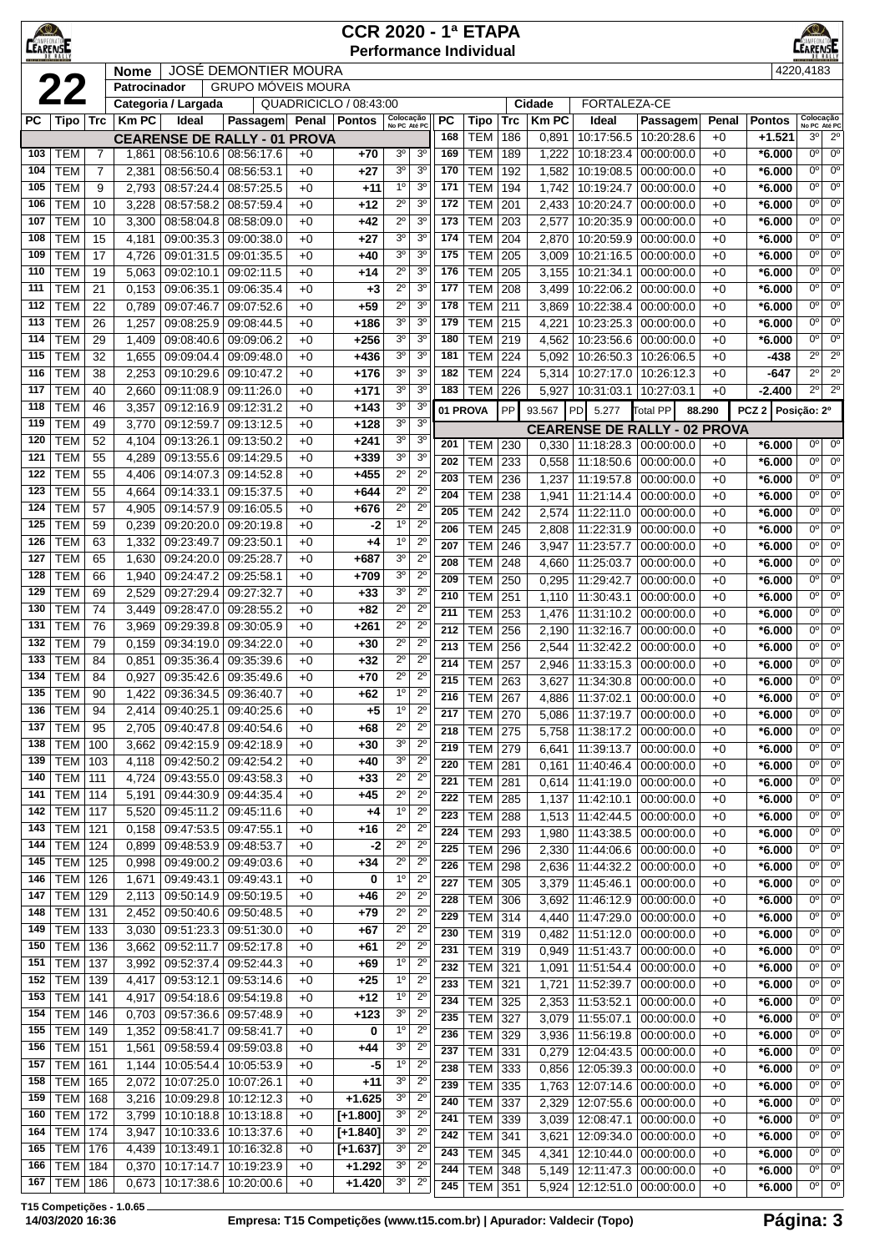|            | $\bigcirc$<br><b>CCR 2020 - 1ª ETAPA</b><br><b>CEARENSE</b><br><b>EARENSE</b><br><b>Performance Individual</b><br><b>JOSÉ DEMONTIER MOURA</b><br>4220,4183<br><b>Nome</b> |                                           |                |                                                  |                                     |              |                        |                               |                                  |            |                          |            |                |                                   |                                     |              |                      |                            |                                       |
|------------|---------------------------------------------------------------------------------------------------------------------------------------------------------------------------|-------------------------------------------|----------------|--------------------------------------------------|-------------------------------------|--------------|------------------------|-------------------------------|----------------------------------|------------|--------------------------|------------|----------------|-----------------------------------|-------------------------------------|--------------|----------------------|----------------------------|---------------------------------------|
|            |                                                                                                                                                                           | <b>GRUPO MÓVEIS MOURA</b><br>Patrocinador |                |                                                  |                                     |              |                        |                               |                                  |            |                          |            |                |                                   |                                     |              |                      |                            |                                       |
|            | 22                                                                                                                                                                        |                                           |                | Categoria / Largada                              |                                     |              | QUADRICICLO / 08:43:00 |                               |                                  |            |                          |            | Cidade         | FORTALEZA-CE                      |                                     |              |                      |                            |                                       |
| <b>PC</b>  | Tipo   Trc                                                                                                                                                                |                                           | <b>Km PC</b>   | Ideal                                            | Passagem Penal                      |              | <b>Pontos</b>          | Colocação                     |                                  | РC         | Tipo                     | Trc        | <b>Km PC</b>   | Ideal                             | Passagem                            | Penal        | <b>Pontos</b>        | Colocação<br>No PC Até PC  |                                       |
|            |                                                                                                                                                                           |                                           |                |                                                  | <b>CEARENSE DE RALLY - 01 PROVA</b> |              |                        | No PC Até PC                  |                                  | 168        | <b>TEM</b>               | 186        | 0,891          | 10:17:56.5                        | 10:20:28.6                          | $+0$         | $+1.521$             | 3 <sup>0</sup>             | $2^{\circ}$                           |
| 103        | TEM                                                                                                                                                                       | 7                                         | 1,861          |                                                  | 08:56:10.6 08:56:17.6               | $+0$         | $+70$                  | 3 <sup>o</sup>                | 3 <sup>o</sup>                   | 169        | <b>TEM</b>               | 189        | 1,222          | 10:18:23.4                        | 00:00:00.0                          | $+0$         | $*6.000$             | 0°                         | $0^{\circ}$                           |
| 104        | <b>TEM</b>                                                                                                                                                                | $\overline{7}$                            | 2,381          | 08:56:50.4                                       | 08:56:53.1                          | $+0$         | +27                    | 3 <sup>0</sup>                | 3 <sup>o</sup>                   | 170        | <b>TEM</b>               | 192        | 1,582          | 10:19:08.5                        | 00:00:00.0                          | $+0$         | $*6.000$             | 0 <sup>o</sup>             | $0^{\circ}$                           |
| 105        | <b>TEM</b>                                                                                                                                                                | 9                                         | 2,793          | 08:57:24.4                                       | 08:57:25.5                          | $+0$         | $+11$                  | 1 <sup>0</sup>                | 3 <sup>o</sup>                   | 171        | <b>TEM</b>               | 194        | 1,742          | 10:19:24.7                        | 00:00:00.0                          | $+0$         | $*6.000$             | 0°                         | 0 <sup>o</sup>                        |
| 106        | <b>TEM</b><br><b>TEM</b>                                                                                                                                                  | 10<br>10                                  | 3,228          | 08:57:58.2<br>08:58:04.8                         | 08:57:59.4                          | $+0$         | $+12$                  | $2^{\circ}$<br>$2^{\circ}$    | 3 <sup>0</sup><br>3 <sup>o</sup> | 172<br>173 | <b>TEM</b><br><b>TEM</b> | 201<br>203 | 2,433          | 10:20:24.7<br>10:20:35.9          | 00:00:00.0                          | $+0$         | $*6.000$             | $0^{\circ}$<br>$0^{\circ}$ | $0^{\circ}$<br>$0^{\circ}$            |
| 107<br>108 | <b>TEM</b>                                                                                                                                                                | 15                                        | 3,300<br>4,181 | 09:00:35.3                                       | 08:58:09.0<br>09:00:38.0            | $+0$<br>$+0$ | +42<br>$+27$           | 3 <sup>0</sup>                | 3 <sup>0</sup>                   | 174        | <b>TEM</b>               | 204        | 2,577<br>2,870 | 10:20:59.9                        | 00:00:00.0<br>00:00:00.0            | $+0$<br>$+0$ | $*6.000$<br>$*6.000$ | $0^{\circ}$                | $0^{\circ}$                           |
| 109        | <b>TEM</b>                                                                                                                                                                | 17                                        | 4,726          | 09:01:31.5                                       | 09:01:35.5                          | $+0$         | $+40$                  | 3 <sup>0</sup>                | 3 <sup>o</sup>                   | 175        | <b>TEM</b>               | 205        | 3,009          | 10:21:16.5                        | 00:00:00.0                          | $+0$         | $*6.000$             | $0^{\circ}$                | $0^{\circ}$                           |
| 110        | <b>TEM</b>                                                                                                                                                                | 19                                        | 5,063          | 09:02:10.1                                       | 09:02:11.5                          | $+0$         | $+14$                  | $2^{\circ}$                   | 3 <sup>0</sup>                   | 176        | <b>TEM</b>               | 205        | 3,155          | 10:21:34.1                        | 00:00:00.0                          | $+0$         | $*6.000$             | $0^{\circ}$                | 0 <sup>o</sup>                        |
| 111        | TEM                                                                                                                                                                       | 21                                        | 0,153          | 09:06:35.1                                       | 09:06:35.4                          | $+0$         | $+3$                   | $2^{\circ}$                   | 3 <sup>o</sup>                   | 177        | <b>TEM</b>               | 208        | 3,499          | 10:22:06.2                        | 00:00:00.0                          | $+0$         | $*6.000$             | 0°                         | $0^{\circ}$                           |
| 112        | <b>TEM</b>                                                                                                                                                                | 22                                        | 0,789          | 09:07:46.7                                       | 09:07:52.6                          | $+0$         | $+59$                  | $2^{\circ}$                   | 3 <sup>o</sup>                   | 178        | <b>TEM</b>               | 211        | 3,869          | 10:22:38.4                        | 00:00:00.0                          | $+0$         | $*6.000$             | 0°                         | $0^{\circ}$                           |
| 113        | <b>TEM</b>                                                                                                                                                                | 26                                        | 1,257          | 09:08:25.9                                       | 09:08:44.5                          | $+0$         | +186                   | 3 <sup>0</sup>                | 3 <sup>0</sup>                   | 179        | <b>TEM</b>               | 215        | 4,221          | 10:23:25.3                        | 00:00:00.0                          | $+0$         | $*6.000$             | 0°                         | $0^{\circ}$                           |
| 114        | <b>TEM</b>                                                                                                                                                                | 29                                        | 1,409          | 09:08:40.6                                       | 09:09:06.2                          | $+0$         | $+256$                 | 3 <sup>0</sup>                | 3 <sup>o</sup>                   | 180        | <b>TEM</b>               | 219        | 4,562          | 10:23:56.6                        | 00:00:00.0                          | $+0$         | $*6.000$             | 0 <sup>o</sup>             | $0^{\circ}$                           |
| 115        | TEM                                                                                                                                                                       | $\overline{32}$                           | 1,655          | 09:09:04.4                                       | 09:09:48.0                          | $+0$         | $+436$                 | 3 <sup>o</sup>                | 3 <sup>o</sup>                   | 181        | <b>TEM</b>               | 224        | 5,092          | 10:26:50.3                        | 10:26:06.5                          | $+0$         | -438                 | $2^{\circ}$                | $2^{\circ}$                           |
| 116        | <b>TEM</b>                                                                                                                                                                | 38                                        | 2,253          | 09:10:29.6                                       | 09:10:47.2                          | $+0$         | $+176$                 | 3 <sup>0</sup>                | 3 <sup>o</sup>                   | 182        | <b>TEM</b>               | 224        | 5,314          | 10:27:17.0                        | 10:26:12.3                          | $+0$         | -647                 | $2^{\circ}$                | $2^{\circ}$                           |
| 117        | <b>TEM</b>                                                                                                                                                                | 40                                        | 2,660          | 09:11:08.9                                       | 09:11:26.0                          | $+0$         | $+171$                 | 3 <sup>0</sup><br>30          | 3 <sup>o</sup><br>3 <sup>o</sup> | 183        | TEM                      | 226        |                | 5,927   10:31:03.1                | 10:27:03.1                          | $+0$         | $-2.400$             | $2^{\circ}$                | $2^{\circ}$                           |
| 118<br>119 | <b>TEM</b><br><b>TEM</b>                                                                                                                                                  | 46<br>49                                  | 3,357<br>3,770 | 09:12:16.9<br>09:12:59.7                         | 09:12:31.2<br>09:13:12.5            | $+0$<br>$+0$ | $+143$<br>$+128$       | 3 <sup>0</sup>                | 3 <sup>o</sup>                   | 01 PROVA   |                          | PP         | 93.567         | <b>PD</b><br>5.277                | Total PP                            | 88.290       | PCZ <sub>2</sub>     | Posição: 2º                |                                       |
| 120        | тем                                                                                                                                                                       | 52                                        | 4,104          | 09:13:26.1                                       | 09:13:50.2                          | $+0$         | +241                   | 3 <sup>o</sup>                | 3 <sup>o</sup>                   |            |                          |            |                |                                   | <b>CEARENSE DE RALLY - 02 PROVA</b> |              |                      |                            |                                       |
| 121        | <b>TEM</b>                                                                                                                                                                | 55                                        | 4,289          | 09:13:55.6                                       | 09:14:29.5                          | $+0$         | $+339$                 | $3^{\circ}$                   | 3 <sup>o</sup>                   | 201<br>202 | <b>TEM</b><br><b>TEM</b> | 230<br>233 | 0,330          | 11:18:28.3                        | 00:00:00.0                          | $+0$         | $*6.000$             | $0^{\circ}$<br>$0^{\circ}$ | $0^{\rm o}$<br>0 <sup>o</sup>         |
| 122        | <b>TEM</b>                                                                                                                                                                | 55                                        | 4,406          | 09:14:07.3                                       | 09:14:52.8                          | $+0$         | +455                   | $2^{\circ}$                   | $2^{\circ}$                      | 203        | <b>TEM</b>               | 236        | 0,558<br>1,237 | 11:18:50.6<br>11:19:57.8          | 00:00:00.0<br>00:00:00.0            | $+0$<br>$+0$ | $*6.000$<br>$*6.000$ | 0°                         | 0 <sup>o</sup>                        |
| 123        | <b>TEM</b>                                                                                                                                                                | 55                                        | 4,664          | 09:14:33.1                                       | 09:15:37.5                          | $+0$         | +644                   | $2^{\circ}$                   | $2^{\circ}$                      | 204        | <b>TEM</b>               | 238        | 1,941          | 11:21:14.4                        | 00:00:00.0                          | $+0$         | $*6.000$             | $0^{\circ}$                | $\overline{0^{\circ}}$                |
| 124        | <b>TEM</b>                                                                                                                                                                | 57                                        | 4,905          | 09:14:57.9                                       | 09:16:05.5                          | $+0$         | +676                   | $2^{\circ}$                   | $2^{\circ}$                      | 205        | <b>TEM</b>               | 242        | 2,574          | 11:22:11.0                        | 00:00:00.0                          | $+0$         | $*6.000$             | $0^{\circ}$                | $\overline{0^{\circ}}$                |
| 125        | TEM                                                                                                                                                                       | 59                                        | 0,239          | 09:20:20.0                                       | 09:20:19.8                          | $+0$         | -2                     | $1^{\circ}$                   | $2^{\circ}$                      | 206        | <b>TEM</b>               | 245        | 2,808          | 11:22:31.9                        | 00:00:00.0                          | $+0$         | $*6.000$             | 0°                         | $0^{\circ}$                           |
| 126        | тем                                                                                                                                                                       | 63                                        | 1,332          | 09:23:49.7                                       | 09:23:50.1                          | $+0$         | $+4$                   | 1 <sup>0</sup>                | $2^{\circ}$                      | 207        | <b>TEM</b>               | 246        | 3,947          | 11:23:57.7                        | 00:00:00.0                          | $+0$         | $*6.000$             | 0°                         | 0 <sup>o</sup>                        |
| 127        | <b>TEM</b>                                                                                                                                                                | 65                                        | 1,630          | 09:24:20.0                                       | 09:25:28.7                          | $+0$         | $+687$                 | 3 <sup>o</sup>                | $2^{\circ}$                      | 208        | <b>TEM</b>               | 248        | 4,660          | 11:25:03.7                        | 00:00:00.0                          | $+0$         | $*6.000$             | 0°                         | $0^{\circ}$                           |
| 128        | <b>TEM</b>                                                                                                                                                                | 66                                        | 1,940          | 09:24:47.2                                       | 09:25:58.1                          | $+0$         | $+709$                 | 3 <sup>0</sup>                | $2^{\circ}$                      | 209        | <b>TEM</b>               | 250        | 0,295          | 11:29:42.7                        | 00:00:00.0                          | $+0$         | $*6.000$             | $0^{\circ}$                | $\overline{0^{\circ}}$                |
| 129<br>130 | <b>TEM</b><br><b>TEM</b>                                                                                                                                                  | 69<br>74                                  | 2,529          | 09:27:29.4                                       | 09:27:32.7                          | $+0$         | $+33$                  | 3 <sup>0</sup><br>$2^{\circ}$ | $2^{\circ}$<br>$2^{\circ}$       | 210        | <b>TEM</b>               | 251        | 1,110          | 11:30:43.1                        | 00:00:00.0                          | $+0$         | $*6.000$             | 0 <sup>o</sup>             | 0 <sup>o</sup>                        |
| 131        | TEM                                                                                                                                                                       | 76                                        | 3,449<br>3,969 | 09:28:47.0<br>09:29:39.8                         | 09:28:55.2<br>09:30:05.9            | $+0$<br>$+0$ | $+82$<br>+261          | $2^{\circ}$                   | $2^{\circ}$                      | 211        | <b>TEM</b>               | 253        |                | 1,476 11:31:10.2                  | 00:00:00.0                          | $+0$         | $*6.000$             | $0^{\circ}$                | 0 <sup>o</sup>                        |
| 132        | TEM                                                                                                                                                                       | 79                                        | 0,159          | 09:34:19.0                                       | 09:34:22.0                          | $+0$         | $+30$                  | $2^{\circ}$                   | $2^{\circ}$                      | 212        | <b>TEM</b>               | 256        | 2,190          | 11:32:16.7                        | 00:00:00.0                          | $+0$         | $*6.000$             | $0^{\circ}$<br>$0^{\circ}$ | $0^{\rm o}$<br>$\overline{0^{\circ}}$ |
| 133        | TEM                                                                                                                                                                       | 84                                        | 0,851          | 09:35:36.4                                       | 09:35:39.6                          | $+0$         | $+32$                  | $2^{\circ}$                   | $2^{\circ}$                      | 213<br>214 | <b>TEM</b><br><b>TEM</b> | 256<br>257 | 2,544          | 11:32:42.2<br>2,946 11:33:15.3    | 00:00:00.0<br>00:00:00.0            | $+0$<br>$+0$ | $*6.000$<br>$*6.000$ | 0 <sup>o</sup>             | $\overline{0^{\circ}}$                |
| 134        | <b>TEM</b>                                                                                                                                                                | 84                                        | 0,927          |                                                  | 09:35:42.6 09:35:49.6               | $+0$         | $+70$                  | $2^{\circ}$                   | $2^{\circ}$                      | 215        | <b>TEM</b>               | 263        |                | 3,627   11:34:30.8   00:00:00.0   |                                     | $+0$         | $*6.000$             | 0 <sup>0</sup>             | $\overline{0^{\circ}}$                |
| 135        | <b>TEM</b>                                                                                                                                                                | 90                                        | 1,422          | 09:36:34.5 09:36:40.7                            |                                     | $+0$         | +62                    | $1^{\circ}$                   | $2^{\circ}$                      | 216        | TEM                      | 267        | 4,886          | 11:37:02.1                        | 00:00:00.0                          | $+0$         | $*6.000$             | 0°                         | $0^{\circ}$                           |
| 136        | <b>TEM</b>                                                                                                                                                                | 94                                        | 2,414          | 09:40:25.1                                       | 09:40:25.6                          | $+0$         | $+5$                   | $1^{\circ}$                   | $2^{\circ}$                      | 217        | TEM                      | 270        | 5,086          | 11:37:19.7                        | 00:00:00.0                          | $+0$         | $*6.000$             | 0°                         | 0 <sup>o</sup>                        |
| 137        | <b>TEM</b>                                                                                                                                                                | 95                                        | 2,705          | 09:40:47.8                                       | 09:40:54.6                          | $+0$         | $+68$                  | $2^{\circ}$                   | $2^{\circ}$                      | 218        | <b>TEM</b>               | 275        |                | 5,758   11:38:17.2                | 00:00:00.0                          | $+0$         | $*6.000$             | $0^{\circ}$                | 0 <sup>o</sup>                        |
| 138        | <b>TEM</b>                                                                                                                                                                | 100                                       | 3,662          | 09:42:15.9                                       | 09:42:18.9                          | $+0$         | +30                    | 3 <sup>o</sup>                | $2^{\circ}$                      | 219        | TEM                      | 279        | 6,641          | 11:39:13.7                        | 00:00:00.0                          | $+0$         | $*6.000$             | $0^{\circ}$                | 0 <sup>o</sup>                        |
| 139        | <b>TEM</b>                                                                                                                                                                | 103                                       | 4,118          |                                                  | 09:42:50.2 09:42:54.2               | $+0$         | $+40$                  | $3^{\circ}$                   | $2^{\circ}$                      | 220        | <b>TEM</b>               | 281        |                | $0,161$ 11:40:46.4                | 00:00:00.0                          | $+0$         | $*6.000$             | 0 <sup>o</sup>             | $0^{\circ}$                           |
| 140<br>141 | <b>TEM</b><br><b>TEM</b>                                                                                                                                                  | 111<br>114                                | 4,724          | 09:43:55.0                                       | 09:43:58.3<br>09:44:35.4            | $+0$         | $+33$                  | $2^{\circ}$<br>$2^{\circ}$    | $2^{\circ}$<br>$2^{\circ}$       | 221        | TEM                      | 281        |                | $0,614$   11:41:19.0              | 00:00:00.0                          | $+0$         | $*6.000$             | $0^{\circ}$                | $0^{\circ}$                           |
| 142        | <b>TEM</b>                                                                                                                                                                | 117                                       | 5,191<br>5,520 | 09:44:30.9<br>09:45:11.2                         | 09:45:11.6                          | +0<br>$+0$   | +45<br>$+4$            | $1^{\circ}$                   | $2^{\circ}$                      | 222        | <b>TEM</b>               | 285        | 1,137          | 11:42:10.1                        | 00:00:00.0                          | $+0$         | $*6.000$             | $0^{\circ}$                | $0^{\circ}$                           |
| 143        | TEM                                                                                                                                                                       | 121                                       | 0,158          | 09:47:53.5   09:47:55.1                          |                                     | $+0$         | $+16$                  | $2^{\circ}$                   | $2^{\circ}$                      | 223        | <b>TEM</b>               | 288        |                | 1,513 11:42:44.5                  | 00:00:00.0                          | $+0$         | $*6.000$             | $0^{\circ}$<br>0°          | 0 <sup>o</sup><br>$0^{\circ}$         |
| 144        | TEM                                                                                                                                                                       | 124                                       | 0,899          | 09:48:53.9                                       | 09:48:53.7                          | $+0$         | $-2$                   | $2^{\circ}$                   | $2^{\circ}$                      | 224<br>225 | <b>TEM</b><br><b>TEM</b> | 293<br>296 | 1,980<br>2,330 | 11:43:38.5<br>11:44:06.6          | 00:00:00.0<br>00:00:00.0            | $+0$<br>$+0$ | $*6.000$<br>$*6.000$ | 0°                         | $0^{\circ}$                           |
| 145        | <b>TEM</b>                                                                                                                                                                | 125                                       | 0,998          | 09:49:00.2                                       | 09:49:03.6                          | $+0$         | $+34$                  | $2^{\circ}$                   | $2^{\circ}$                      | 226        | <b>TEM</b>               | 298        | 2,636          | 11:44:32.2                        | 00:00:00.0                          | $+0$         | $*6.000$             | 0 <sup>o</sup>             | $0^{\circ}$                           |
| 146        | TEM                                                                                                                                                                       | 126                                       | 1,671          | 09:49:43.1                                       | 09:49:43.1                          | $+0$         | 0                      | $1^{\circ}$                   | $2^{\circ}$                      | 227        | <b>TEM</b>               | 305        | 3,379          | 11:45:46.1                        | 00:00:00.0                          | $+0$         | $*6.000$             | 0 <sup>0</sup>             | $\overline{0^{\circ}}$                |
| 147        | <b>TEM</b>                                                                                                                                                                | 129                                       | 2,113          | 09:50:14.9                                       | 09:50:19.5                          | $+0$         | +46                    | $2^{\circ}$                   | $2^{\circ}$                      | 228        | TEM                      | 306        | 3,692          | 11:46:12.9                        | 00:00:00.0                          | $+0$         | $*6.000$             | $0^{\circ}$                | $0^{\circ}$                           |
| 148        | TEM                                                                                                                                                                       | 131                                       | 2,452          | 09:50:40.6                                       | 09:50:48.5                          | $+0$         | $+79$                  | $2^{\circ}$                   | $2^{\circ}$                      | 229        | <b>TEM</b>               | 314        |                | 4,440   11:47:29.0                | 00:00:00.0                          | $+0$         | $*6.000$             | 0 <sup>o</sup>             | $0^{\circ}$                           |
| 149        | <b>TEM</b>                                                                                                                                                                | 133                                       | 3,030          | 09:51:23.3                                       | 09:51:30.0                          | +0           | +67                    | $2^{\circ}$                   | $2^{\circ}$                      | 230        | TEM                      | 319        | 0,482          | 11:51:12.0                        | 00:00:00.0                          | $+0$         | $*6.000$             | $0^{\circ}$                | $0^{\circ}$                           |
| 150        | <b>TEM</b>                                                                                                                                                                | 136                                       | 3,662          | 09:52:11.7                                       | 09:52:17.8                          | +0           | +61                    | $2^{\circ}$<br>$1^{\circ}$    | $2^{\circ}$                      | 231        | <b>TEM</b>               | 319        |                | 0,949 11:51:43.7                  | 00:00:00.0                          | $+0$         | $*6.000$             | $0^{\circ}$                | $\overline{0^{\circ}}$                |
| 151<br>152 | TEM<br>TEM                                                                                                                                                                | 137<br>139                                | 3,992          | 09:52:37.4 09:52:44.3<br>$\overline{09:53:12.1}$ | 09:53:14.6                          | $+0$         | $+69$<br>$+25$         | 1 <sup>0</sup>                | $2^{\circ}$<br>$2^{\circ}$       | 232        | <b>TEM</b>               | 321        | 1,091          | 11:51:54.4                        | 00:00:00.0                          | $+0$         | $*6.000$             | $0^{\circ}$                | $0^{\circ}$                           |
| 153        | TEM                                                                                                                                                                       | 141                                       | 4,417<br>4,917 | 09:54:18.6 09:54:19.8                            |                                     | $+0$<br>$+0$ | $+12$                  | $1^{\circ}$                   | $2^{\circ}$                      | 233        | TEM                      | 321        | 1,721          | 11:52:39.7                        | 00:00:00.0                          | $+0$         | $*6.000$             | $0^{\circ}$                | $0^{\circ}$                           |
| 154        | TEM                                                                                                                                                                       | 146                                       | 0,703          | 09:57:36.6                                       | 09:57:48.9                          | $+0$         | +123                   | 3 <sup>o</sup>                | $2^{\circ}$                      | 234        | <b>TEM</b>               | 325        | 2,353          | 11:53:52.1                        | 00:00:00.0                          | $+0$         | $*6.000$             | 0°                         | $0^{\rm o}$                           |
| 155        | <b>TEM</b>                                                                                                                                                                | 149                                       | 1,352          | 09:58:41.7                                       | 09:58:41.7                          | $+0$         | 0                      | $1^{\circ}$                   | $2^{\circ}$                      | 235<br>236 | <b>TEM</b><br><b>TEM</b> | 327<br>329 | 3,079<br>3,936 | 11:55:07.1<br>11:56:19.8          | 00:00:00.0<br>00:00:00.0            | $+0$<br>$+0$ | $*6.000$<br>$*6.000$ | 0° <br>0 <sup>0</sup>      | $0^{\circ}$<br>0 <sup>o</sup>         |
| 156        | TEM                                                                                                                                                                       | 151                                       | 1,561          | 09:58:59.4                                       | 09:59:03.8                          | $+0$         | $+44$                  | 3 <sup>o</sup>                | $2^{\circ}$                      | 237        | TEM                      | 331        | 0,279          | 12:04:43.5                        | 00:00:00.0                          | $+0$         | $*6.000$             | $0^{\circ}$                | $0^{\circ}$                           |
| 157        | <b>TEM</b>                                                                                                                                                                | 161                                       | 1,144          | 10:05:54.4                                       | 10:05:53.9                          | $+0$         | $-5$                   | $1^{\circ}$                   | $2^{\circ}$                      | 238        | TEM                      | 333        |                | $0,856$   12:05:39.3   00:00:00.0 |                                     | $+0$         | $*6.000$             | 0 <sup>0</sup>             | $0^{\circ}$                           |
| 158        | <b>TEM</b>                                                                                                                                                                | 165                                       | 2,072          | 10:07:25.0                                       | 10:07:26.1                          | $+0$         | $+11$                  | $3^{\circ}$                   | $2^{\circ}$                      | 239        | <b>TEM</b>               | 335        |                | 1,763   12:07:14.6   00:00:00.0   |                                     | $+0$         | $*6.000$             | 0 <sup>o</sup>             | 0 <sup>o</sup>                        |
| 159        | <b>TEM</b>                                                                                                                                                                | 168                                       | 3,216          | 10:09:29.8                                       | 10:12:12.3                          | +0           | $+1.625$               | $3^{\circ}$                   | $2^{\circ}$                      | 240        | <b>TEM</b>               | 337        | 2,329          | 12:07:55.6                        | 00:00:00.0                          | $+0$         | $*6.000$             | $0^{\circ}$                | $0^{\circ}$                           |
| 160        | TEM                                                                                                                                                                       | 172                                       | 3,799          | 10:10:18.8                                       | 10:13:18.8                          | $+0$         | $[+1.800]$             | 3 <sup>o</sup>                | $2^{\circ}$                      | 241        | <b>TEM</b>               | 339        | 3,039          | 12:08:47.1                        | 00:00:00.0                          | $+0$         | $*6.000$             | $0^{\circ}$                | $\overline{0^{\circ}}$                |
| 164        | TEM                                                                                                                                                                       | 174                                       | 3,947          | 10:10:33.6                                       | 10:13:37.6                          | $+0$         | $[+1.840]$             | 3 <sup>o</sup>                | $2^{\circ}$                      | 242        | TEM                      | 341        | 3,621          | 12:09:34.0                        | 00:00:00.0                          | $+0$         | $*6.000$             | 0°                         | $0^{\circ}$                           |
| 165<br>166 | TEM<br><b>TEM</b>                                                                                                                                                         | 176<br>184                                | 4,439<br>0,370 | 10:13:49.1<br>10:17:14.7                         | 10:16:32.8<br>10:19:23.9            | $+0$<br>$+0$ | $[-1.637]$<br>$+1.292$ | 3 <sup>o</sup><br>3º          | $2^{\circ}$<br>$2^{\circ}$       | 243        | <b>TEM</b>               | 345        | 4,341          | 12:10:44.0                        | 00:00:00.0                          | $+0$         | $*6.000$             | 0°                         | $0^{\circ}$                           |
| 167        | TEM                                                                                                                                                                       | 186                                       | 0,673          | 10:17:38.6                                       | 10:20:00.6                          | $+0$         | $+1.420$               | 3 <sup>o</sup>                | $2^{\circ}$                      | 244        | <b>TEM</b>               | 348        | 5,149          | 12:11:47.3                        | 00:00:00.0                          | $+0$         | $*6.000$             | 0°                         | 0 <sub>o</sub>                        |
|            |                                                                                                                                                                           |                                           |                |                                                  |                                     |              |                        |                               |                                  | 245        | TEM                      | 351        | 5,924          | 12:12:51.0                        | 00:00:00.0                          | $+0$         | $*6.000$             | $0^{\circ}$                | $0^{\circ}$                           |

**T15 Competições - 1.0.65**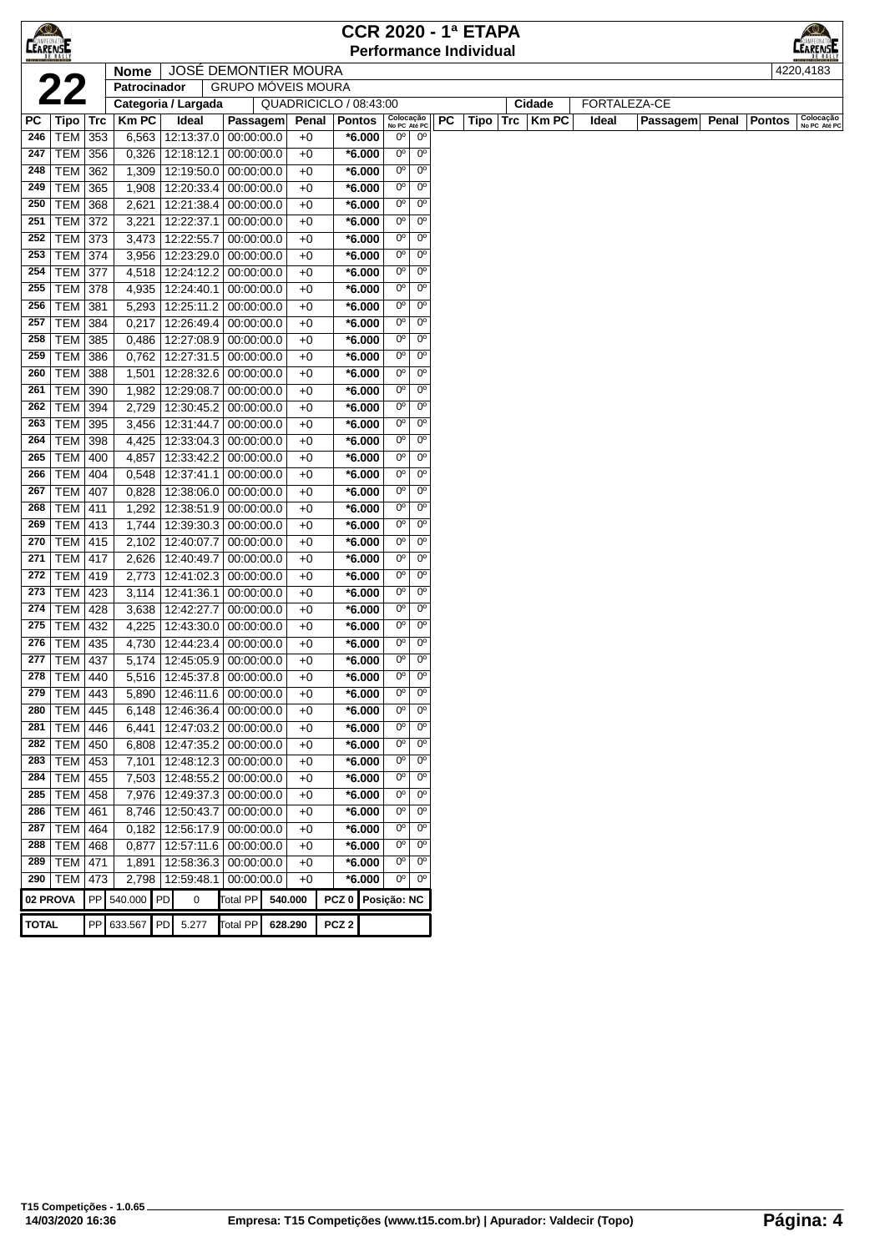| <b>CEARENSE</b> |                   |            |                     |             |           |                                     |                             |                  | <b>CCR 2020 - 1ª ETAPA</b> |                            |                            |    |                               |               |       |              |       |               |                                       |
|-----------------|-------------------|------------|---------------------|-------------|-----------|-------------------------------------|-----------------------------|------------------|----------------------------|----------------------------|----------------------------|----|-------------------------------|---------------|-------|--------------|-------|---------------|---------------------------------------|
|                 |                   |            |                     |             |           |                                     |                             |                  |                            |                            |                            |    | <b>Performance Individual</b> |               |       |              |       |               | MPEONATO <sup>N</sup><br><b>ARENS</b> |
|                 |                   |            | <b>Nome</b>         |             |           |                                     | <b>JOSÉ DEMONTIER MOURA</b> |                  |                            |                            |                            |    |                               |               |       |              |       |               | 4220,4183                             |
|                 | 22                |            | Patrocinador        |             |           |                                     | <b>GRUPO MÓVEIS MOURA</b>   |                  |                            |                            |                            |    |                               |               |       |              |       |               |                                       |
|                 |                   |            | Categoria / Largada |             |           |                                     | QUADRICICLO / 08:43:00      |                  |                            |                            |                            |    |                               | Cidade        |       | FORTALEZA-CE |       |               |                                       |
| PC              | Tipo   Trc        |            | <b>Km PC</b>        | Ideal       |           | Passagem                            |                             | Penal            | <b>Pontos</b>              | Colocação<br>No PC Até PC  |                            | PC | Tipo                          | $Trc$   Km PC | Ideal | Passagem     | Penal | <b>Pontos</b> | Colocação<br>No PC Até PC             |
| 246             | TEM 353           |            | 6,563               |             |           | 12:13:37.0 00:00:00.0               | $+0$                        |                  | *6.000                     | $0^{\circ}$                | 0°                         |    |                               |               |       |              |       |               |                                       |
| 247             | TEM               | 356        | 0,326               | 12:18:12.1  |           | 00:00:00.0                          | $+0$                        |                  | *6.000                     | $0^{\circ}$                | $0^{\circ}$                |    |                               |               |       |              |       |               |                                       |
| 248             | <b>TEM</b>        | 362        | 1,309               | 12:19:50.0  |           | 00:00:00.0                          | $+0$                        |                  | *6.000                     | $0^{\circ}$                | $0^{\circ}$                |    |                               |               |       |              |       |               |                                       |
| 249             | TEM               | 365        | 1,908               | 12:20:33.4  |           | 00:00:00.0                          | $+0$                        |                  | *6.000                     | $0^{\circ}$                | 0 <sup>o</sup>             |    |                               |               |       |              |       |               |                                       |
| 250             | <b>TEM</b>        | 368        | 2,621               | 12:21:38.4  |           | 00:00:00.0                          | $+0$                        |                  | $*6.000$                   | $0^{\circ}$                | $0^{\circ}$                |    |                               |               |       |              |       |               |                                       |
| 251             | TEM               | 372        | 3,221               | 12:22:37.1  |           | 00:00:00.0                          | $+0$                        |                  | *6.000                     | $0^{\circ}$                | $0^{\circ}$                |    |                               |               |       |              |       |               |                                       |
| 252             | <b>TEM</b>        | 373        | 3,473               | 12:22:55.7  |           | 00:00:00.0                          | $+0$                        |                  | *6.000                     | 0°                         | $0^{\circ}$                |    |                               |               |       |              |       |               |                                       |
| 253             | TEM               | 374        | 3,956               | 12:23:29.0  |           | 00:00:00.0                          | $+0$                        |                  | *6.000                     | $0^{\circ}$                | $0^{\circ}$                |    |                               |               |       |              |       |               |                                       |
| 254             | TEM               | 377        | 4,518               | 12:24:12.2  |           | 00:00:00.0                          | $+0$                        |                  | *6.000                     | $0^{\circ}$                | $0^{\circ}$                |    |                               |               |       |              |       |               |                                       |
| 255             | <b>TEM 378</b>    |            | 4,935               | 12:24:40.1  |           | 00:00:00.0                          | $+0$                        |                  | *6.000                     | $0^{\circ}$                | 0°                         |    |                               |               |       |              |       |               |                                       |
| 256             | <b>TEM</b>        | 381        | 5,293               | 12:25:11.2  |           | 00:00:00.0                          | $+0$                        |                  | *6.000                     | $0^{\circ}$                | $0^{\circ}$                |    |                               |               |       |              |       |               |                                       |
| 257             | <b>TEM</b>        | 384        | 0,217               | 12:26:49.4  |           | 00:00:00.0                          | $+0$                        |                  | *6.000                     | $0^{\circ}$                | $0^{\circ}$                |    |                               |               |       |              |       |               |                                       |
| 258             | TEM               | 385        | 0,486               | 12:27:08.9  |           | 00:00:00.0                          | $+0$                        |                  | *6.000                     | $0^{\circ}$                | $0^{\circ}$                |    |                               |               |       |              |       |               |                                       |
| 259             | <b>TEM</b>        | 386        | 0,762               | 12:27:31.5  |           | 00:00:00.0                          | $+0$                        |                  | $*6.000$                   | $0^{\circ}$                | $0^{\circ}$                |    |                               |               |       |              |       |               |                                       |
| 260             | <b>TEM</b>        | 388        | 1,501               | 12:28:32.6  |           | 00:00:00.0                          | $+0$                        |                  | *6.000                     | $0^{\circ}$                | $0^{\circ}$                |    |                               |               |       |              |       |               |                                       |
| 261             | <b>TEM</b>        | 390        | 1,982               | 12:29:08.7  |           | 00:00:00.0                          | $+0$                        |                  | $*6.000$                   | $0^{\circ}$                | $0^{\circ}$                |    |                               |               |       |              |       |               |                                       |
| 262             | TEM               | 394        | 2,729               |             |           | 12:30:45.2 00:00:00.0               | $+0$                        |                  | *6.000                     | $0^{\circ}$<br>$0^{\circ}$ | $0^{\circ}$<br>$0^{\circ}$ |    |                               |               |       |              |       |               |                                       |
| 263<br>264      | TEM               | 395        | 3,456               | 12:31:44.7  |           | 00:00:00.0                          | $+0$                        |                  | *6.000                     | $0^{\circ}$                | 0°                         |    |                               |               |       |              |       |               |                                       |
| 265             | TEM<br><b>TEM</b> | 398<br>400 | 4,425               | 12:33:42.2  |           | 12:33:04.3 00:00:00.0<br>00:00:00.0 | $+0$<br>$+0$                |                  | *6.000<br>*6.000           | $0^{\circ}$                | $0^{\circ}$                |    |                               |               |       |              |       |               |                                       |
| 266             | TEM               | 404        | 4,857<br>0,548      | 12:37:41.1  |           | 00:00:00.0                          | $+0$                        |                  | *6.000                     | $0^{\circ}$                | $0^{\circ}$                |    |                               |               |       |              |       |               |                                       |
| 267             | <b>TEM</b>        | 407        | 0,828               | 12:38:06.0  |           | 00:00:00.0                          | $+0$                        |                  | *6.000                     | $0^{\circ}$                | $0^{\circ}$                |    |                               |               |       |              |       |               |                                       |
| 268             | <b>TEM</b>        | 411        | 1,292               | 12:38:51.9  |           | 00:00:00.0                          | $+0$                        |                  | *6.000                     | $0^{\circ}$                | $0^{\circ}$                |    |                               |               |       |              |       |               |                                       |
| 269             | <b>TEM</b>        | 413        | 1,744               | 12:39:30.3  |           | 00:00:00.0                          | $+0$                        |                  | *6.000                     | $0^{\circ}$                | $0^{\circ}$                |    |                               |               |       |              |       |               |                                       |
| 270             | TEM               | 415        | 2,102               | 12:40:07.7  |           | 00:00:00.0                          | $+0$                        |                  | *6.000                     | $0^{\circ}$                | $0^{\circ}$                |    |                               |               |       |              |       |               |                                       |
| 271             | TEM               | 417        | 2,626               | 12:40:49.7  |           | 00:00:00.0                          | $+0$                        |                  | *6.000                     | $0^{\circ}$                | $0^{\circ}$                |    |                               |               |       |              |       |               |                                       |
| 272             | TEM   419         |            | 2,773               | 12:41:02.3  |           | 00:00:00.0                          | $+0$                        |                  | *6.000                     | $0^{\circ}$                | $0^{\circ}$                |    |                               |               |       |              |       |               |                                       |
| 273             | <b>TEM 423</b>    |            | 3,114               | 12:41:36.1  |           | 00:00:00.0                          | $+0$                        |                  | *6.000                     | $0^{\circ}$                | $0^{\circ}$                |    |                               |               |       |              |       |               |                                       |
| 274             | TEM               | 428        | 3,638               | 12:42:27.7  |           | 00:00:00.0                          | $+0$                        |                  | *6.000                     | $0^{\circ}$                | $0^{\circ}$                |    |                               |               |       |              |       |               |                                       |
| 275             | <b>TEM</b>        | 432        | 4,225               | 12:43:30.0  |           | 00:00:00.0                          | $+0$                        |                  | *6.000                     | $0^{\circ}$                | $0^{\circ}$                |    |                               |               |       |              |       |               |                                       |
| 276             | TEM               | 435        | 4,730               | 12:44:23.4  |           | 00:00:00.0                          | $+0$                        |                  | $*6.000$                   | $0^{\circ}$                | $0^{\circ}$                |    |                               |               |       |              |       |               |                                       |
| 277             | TEM               | 437        | 5,174               | 12:45:05.9  |           | 00:00:00.0                          | $+0$                        |                  | $*6.000$                   | 0°                         | $0^{\circ}$                |    |                               |               |       |              |       |               |                                       |
| 278             | TEM               | 440        | 5,516               |             |           | 12:45:37.8 00:00:00.0               | $+0$                        |                  | *6.000                     | 0°                         | $0^{\circ}$                |    |                               |               |       |              |       |               |                                       |
| 279             | TEM   443         |            | 5,890               |             |           | 12:46:11.6   00:00:00.0             | $+0$                        |                  | *6.000                     | 0°                         | $0^{\circ}$                |    |                               |               |       |              |       |               |                                       |
| 280             | TEM               | 445        | 6,148               | 12:46:36.4  |           | 00:00:00.0                          | $+0$                        |                  | $*6.000$                   | 0 <sup>o</sup>             | 0 <sup>o</sup>             |    |                               |               |       |              |       |               |                                       |
| 281             | TEM   446         |            | 6,441               |             |           | 12:47:03.2 00:00:00.0               | $+0$                        |                  | $*6.000$                   | 0 <sup>o</sup>             | 0 <sup>o</sup>             |    |                               |               |       |              |       |               |                                       |
| 282             | TEM   450         |            | 6,808               |             |           | 12:47:35.2 00:00:00.0               | $+0$                        |                  | $*6.000$                   | $0^{\circ}$                | $0^{\circ}$                |    |                               |               |       |              |       |               |                                       |
| 283             | TEM 453           |            | 7,101               |             |           | 12:48:12.3 00:00:00.0               | $+0$                        |                  | $*6.000$                   | 0 <sup>o</sup>             | 0 <sup>o</sup>             |    |                               |               |       |              |       |               |                                       |
| 284             | <b>TEM</b>        | 455        | 7,503               | 12:48:55.2  |           | 00:00:00.0                          | $+0$                        |                  | $*6.000$                   | $0^{\circ}$                | 0 <sup>o</sup>             |    |                               |               |       |              |       |               |                                       |
| 285             | TEM               | 458        | 7,976               | 12:49:37.3  |           | 00:00:00.0                          | $+0$                        |                  | $*6.000$                   | 0 <sup>o</sup>             | 0 <sup>o</sup>             |    |                               |               |       |              |       |               |                                       |
| 286             | <b>TEM</b>        | 461        | 8,746               | 12:50:43.7  |           | 00:00:00.0                          | $+0$                        |                  | $*6.000$                   | $0^{\circ}$                | 0 <sup>o</sup>             |    |                               |               |       |              |       |               |                                       |
| 287             | TEM               | 464        | 0,182               |             |           | 12:56:17.9 00:00:00.0               | $+0$                        |                  | $*6.000$                   | $0^{\circ}$                | $0^{\circ}$                |    |                               |               |       |              |       |               |                                       |
| 288             | <b>TEM</b>        | 468        | 0,877               | 12:57:11.6  |           | 00:00:00.0                          | $+0$                        |                  | $*6.000$                   | 0°                         | 0 <sup>o</sup>             |    |                               |               |       |              |       |               |                                       |
| 289             | TEM               | 471        | 1,891               | 12:58:36.3  |           | 00:00:00.0                          | $+0$                        |                  | $*6.000$                   | $0^{\circ}$                | 0 <sup>o</sup>             |    |                               |               |       |              |       |               |                                       |
|                 | 290   TEM $ $     | 473        | 2,798               | 12:59:48.1  |           | 00:00:00.0                          | $+0$                        |                  | $*6.000$                   | $0^{\circ}$                | 0 <sup>o</sup>             |    |                               |               |       |              |       |               |                                       |
|                 | 02 PROVA          |            | PP 540.000          | PD          | $\pmb{0}$ | Total PP                            | 540.000                     |                  | PCZ 0 Posição: NC          |                            |                            |    |                               |               |       |              |       |               |                                       |
| <b>TOTAL</b>    |                   |            | PP 633.567          | PD<br>5.277 |           | <b>Total PP</b>                     | 628.290                     | PCZ <sub>2</sub> |                            |                            |                            |    |                               |               |       |              |       |               |                                       |
|                 |                   |            |                     |             |           |                                     |                             |                  |                            |                            |                            |    |                               |               |       |              |       |               |                                       |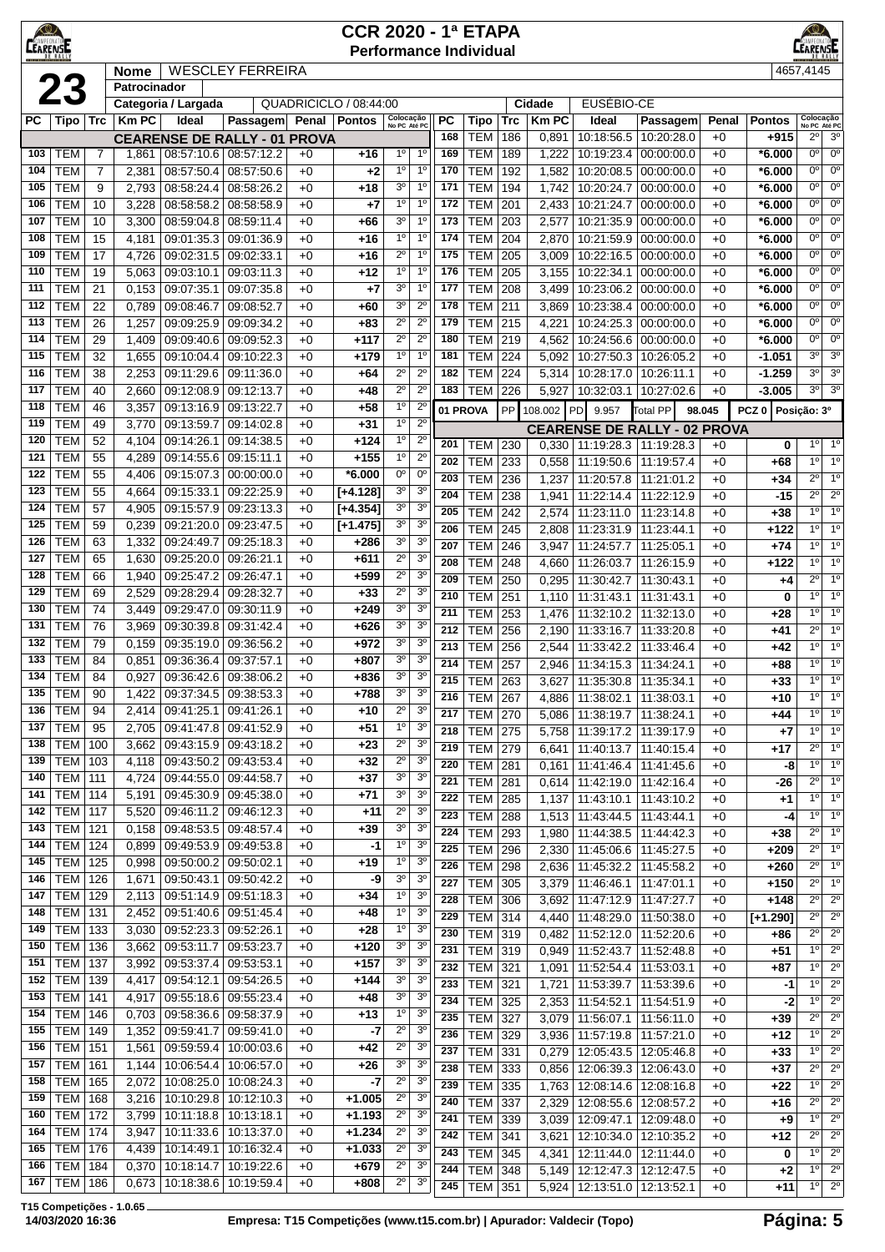| <b>LEARENSE</b> |                          |                |                |                                     |                          |              | <b>Performance Individual</b> |                               |                                  |            |                          |            |                |                                     |                          |              |                      |                                  | <b>LEARENSE</b>               |
|-----------------|--------------------------|----------------|----------------|-------------------------------------|--------------------------|--------------|-------------------------------|-------------------------------|----------------------------------|------------|--------------------------|------------|----------------|-------------------------------------|--------------------------|--------------|----------------------|----------------------------------|-------------------------------|
|                 |                          |                | <b>Nome</b>    |                                     | <b>WESCLEY FERREIRA</b>  |              |                               |                               | 4657,4145                        |            |                          |            |                |                                     |                          |              |                      |                                  |                               |
|                 | <b>23</b>                |                | Patrocinador   |                                     |                          |              |                               |                               |                                  |            |                          |            |                |                                     |                          |              |                      |                                  |                               |
|                 |                          |                |                | Categoria / Largada                 |                          |              | QUADRICICLO / 08:44:00        |                               |                                  |            |                          |            | Cidade         | EUSÉBIO-CE                          |                          |              |                      |                                  |                               |
| PС              | Tipo                     | <b>Trc</b>     | <b>Km PC</b>   | Ideal                               | Passagem                 |              | Penal   Pontos                | Colocação<br>No PC Até PC     |                                  | <b>PC</b>  | Tipo                     | <b>Trc</b> | <b>Km PC</b>   | Ideal                               | Passagem                 | Penal        | <b>Pontos</b>        | Colocação<br>No PC Até PC        |                               |
|                 |                          |                |                | <b>CEARENSE DE RALLY - 01 PROVA</b> |                          |              |                               |                               |                                  | 168        | <b>TEM</b>               | 186        | 0,891          | 10:18:56.5                          | 10:20:28.0               | $+0$         | $+915$               | $2^{\circ}$                      | 3 <sup>o</sup>                |
| 103             | <b>TEM</b>               | $\overline{7}$ | 1,861          | 08:57:10.6 08:57:12.2               |                          | $+0$         | +16                           | $1^{\circ}$                   | 1 <sup>0</sup>                   | 169        | <b>TEM</b>               | 189        | 1,222          | 10:19:23.4                          | 00:00:00.0               | $+0$         | *6.000               | 0 <sup>0</sup>                   | 0 <sup>o</sup>                |
| 104             | <b>TEM</b>               | $\overline{7}$ | 2,381          | 08:57:50.4                          | 08:57:50.6               | $+0$         | $+2$                          | 1 <sup>°</sup>                | 1 <sup>0</sup>                   | 170        | <b>TEM</b>               | 192        | 1,582          | 10:20:08.5                          | 00:00:00.0               | $+0$         | *6.000               | $0^{\circ}$                      | 0 <sup>o</sup>                |
| 105             | <b>TEM</b>               | 9              | 2,793          | 08:58:24.4                          | 08:58:26.2               | $+0$         | $+18$                         | 30                            | 1 <sup>0</sup>                   | 171        | <b>TEM</b>               | 194        | 1,742          | 10:20:24.7                          | 00:00:00.0               | $+0$         | $*6.000$             | $0^{\circ}$                      | $0^{\rm o}$                   |
| 106             | <b>TEM</b>               | 10             | 3,228          | 08:58:58.2                          | 08:58:58.9               | $+0$         | $+7$                          | 1 <sup>0</sup>                | 1 <sup>0</sup>                   | 172        | <b>TEM</b>               | 201        | 2,433          | 10:21:24.7                          | 00:00:00.0               | $+0$         | $*6.000$             | 0 <sup>o</sup>                   | 0 <sup>o</sup>                |
| 107             | <b>TEM</b>               | 10             | 3,300          | 08:59:04.8                          | 08:59:11.4               | $+0$         | $+66$                         | 3 <sup>o</sup>                | 1 <sup>0</sup>                   | 173        | <b>TEM</b>               | 203        | 2,577          | 10:21:35.9                          | 00:00:00.0               | $+0$         | $*6.000$             | 0 <sup>o</sup>                   | 0 <sup>o</sup>                |
| 108             | <b>TEM</b>               | 15             | 4,181          | 09:01:35.3                          | 09:01:36.9               | $+0$         | $+16$                         | $1^{\circ}$                   | 1 <sup>0</sup>                   | 174        | <b>TEM</b>               | 204        | 2,870          | 10:21:59.9                          | 00:00:00.0               | $+0$         | *6.000               | $0^{\circ}$                      | $0^{\circ}$                   |
| 109             | <b>TEM</b>               | 17             | 4,726          | 09:02:31.5                          | 09:02:33.1               | $+0$         | $+16$                         | $2^{\circ}$                   | 1 <sup>0</sup>                   | 175        | <b>TEM</b>               | 205        | 3,009          | 10:22:16.5                          | 00:00:00.0               | $+0$         | $*6.000$             | $0^{\circ}$                      | 0 <sup>o</sup>                |
| 110             | <b>TEM</b>               | 19             | 5,063          | 09:03:10.1                          | 09:03:11.3               | $+0$         | $+12$                         | $1^{\circ}$<br>3 <sup>o</sup> | 1 <sup>0</sup><br>1 <sup>0</sup> | 176        | <b>TEM</b>               | 205        | 3,155          | 10:22:34.1                          | 00:00:00.0               | $+0$         | *6.000               | 0 <sup>o</sup><br>0 <sup>o</sup> | $0^{\circ}$<br>0 <sup>o</sup> |
| 111             | <b>TEM</b>               | 21             | 0,153          | 09:07:35.1                          | 09:07:35.8               | $+0$         | $+7$                          | 3 <sup>o</sup>                | $2^{\circ}$                      | 177        | <b>TEM</b>               | 208        | 3,499          | 10:23:06.2                          | 00:00:00.0               | $+0$         | $*6.000$             | $0^{\circ}$                      | 0 <sup>o</sup>                |
| 112             | <b>TEM</b><br><b>TEM</b> | 22<br>26       | 0,789<br>1,257 | 09:08:46.7<br>09:09:25.9            | 09:08:52.7               | $+0$<br>$+0$ | +60                           | $2^{\circ}$                   | $2^{\circ}$                      | 178<br>179 | <b>TEM</b><br><b>TEM</b> | 211<br>215 | 3,869          | 10:23:38.4                          | 00:00:00.0               | $+0$         | $*6.000$             | $0^{\circ}$                      | $0^{\circ}$                   |
| 113<br>114      | <b>TEM</b>               |                |                |                                     | 09:09:34.2               |              | +83                           | $2^{\circ}$                   | $2^{\circ}$                      | 180        |                          | 219        | 4,221          | 10:24:25.3                          | 00:00:00.0               | $+0$<br>$+0$ | $*6.000$             | 0 <sup>o</sup>                   | $0^{\circ}$                   |
| 115             | <b>TEM</b>               | 29<br>32       | 1,409<br>1,655 | 09:09:40.6<br>09:10:04.4            | 09:09:52.3<br>09:10:22.3 | $+0$<br>$+0$ | +117<br>+179                  | 1 <sup>0</sup>                | 1 <sup>0</sup>                   | 181        | <b>TEM</b><br><b>TEM</b> | 224        | 4,562<br>5,092 | 10:24:56.6<br>10:27:50.3            | 00:00:00.0<br>10:26:05.2 | $+0$         | $*6.000$<br>$-1.051$ | $3^{\circ}$                      | 3 <sup>o</sup>                |
| 116             | <b>TEM</b>               | 38             | 2,253          | 09:11:29.6                          | 09:11:36.0               | $+0$         | $+64$                         | $2^{\circ}$                   | $2^{\circ}$                      | 182        | <b>TEM</b>               | 224        | 5,314          | 10:28:17.0                          | 10:26:11.1               | $+0$         | $-1.259$             | 3 <sup>0</sup>                   | 3 <sup>o</sup>                |
| 117             | <b>TEM</b>               | 40             | 2,660          | 09:12:08.9                          | 09:12:13.7               | $+0$         | $+48$                         | $2^{\circ}$                   | $2^{\circ}$                      | 183        | <b>TEM</b>               | 226        | 5,927          | 10:32:03.1                          | 10:27:02.6               | $+0$         | $-3.005$             | $3^{\circ}$                      | 3 <sup>0</sup>                |
| 118             | <b>TEM</b>               | 46             | 3,357          | 09:13:16.9                          | 09:13:22.7               | $+0$         | $+58$                         | 1 <sup>o</sup>                | $2^{\circ}$                      |            |                          |            |                |                                     |                          |              |                      |                                  |                               |
| 119             | <b>TEM</b>               | 49             | 3,770          | 09:13:59.7                          | 09:14:02.8               | +0           | $+31$                         | 1 <sup>0</sup>                | $2^{\circ}$                      |            | 01 PROVA                 | PP         | 108.002        | 9.957<br>PD                         | Total PP                 | 98.045       | PCZ <sub>0</sub>     | Posição: 3º                      |                               |
| 120             | <b>TEM</b>               | 52             | 4,104          | 09:14:26.1                          | 09:14:38.5               | $+0$         | +124                          | 1 <sup>o</sup>                | $2^{\circ}$                      |            |                          |            |                | <b>CEARENSE DE RALLY - 02 PROVA</b> |                          |              |                      |                                  |                               |
| 121             | <b>TEM</b>               | 55             | 4,289          | 09:14:55.6                          | 09:15:11.1               | $+0$         | $+155$                        | 1 <sup>0</sup>                | $2^{\circ}$                      | 201        | <b>TEM</b>               | 230        | 0,330          | 11:19:28.3                          | 11:19:28.3               | $+0$         | 0                    | 1 <sup>°</sup>                   | $1^{\circ}$                   |
| 122             | <b>TEM</b>               | 55             | 4,406          | 09:15:07.3                          | 00:00:00.0               | $+0$         | *6.000                        | 0°                            | $0^{\circ}$                      | 202        | <b>TEM</b>               | 233        | 0,558          | 11:19:50.6                          | 11:19:57.4               | $+0$         | +68                  | 1 <sup>0</sup>                   | 1 <sup>o</sup>                |
| 123             | <b>TEM</b>               | 55             | 4,664          | 09:15:33.1                          | 09:22:25.9               | $+0$         | $[+4.128]$                    | 3 <sup>o</sup>                | 3 <sup>0</sup>                   | 203        | <b>TEM</b>               | 236        | 1,237          | 11:20:57.8                          | 11:21:01.2               | $+0$         | $+34$                | $2^{\circ}$                      | $1^{\circ}$                   |
| 124             | <b>TEM</b>               | 57             | 4,905          | 09:15:57.9                          | 09:23:13.3               | +0           | $[+4.354]$                    | 3 <sup>o</sup>                | 3 <sup>o</sup>                   | 204        | <b>TEM</b>               | 238        | 1,941          | 11:22:14.4                          | 11:22:12.9               | $+0$         | -15                  | $2^{\circ}$                      | $2^{\circ}$                   |
| 125             | <b>TEM</b>               | 59             | 0,239          | 09:21:20.0                          | 09:23:47.5               | $+0$         | $[+1.475]$                    | 3 <sup>o</sup>                | 3 <sup>o</sup>                   | 205        | <b>TEM</b>               | 242        | 2,574          | 11:23:11.0                          | 11:23:14.8               | $+0$         | $+38$                | 1 <sup>0</sup>                   | 1 <sup>0</sup>                |
| 126             | <b>TEM</b>               | 63             | 1,332          | 09:24:49.7                          | 09:25:18.3               | $+0$         | +286                          | 3 <sup>o</sup>                | 3 <sup>0</sup>                   | 206        | <b>TEM</b>               | 245        | 2,808          | 11:23:31.9                          | 11:23:44.1               | $+0$         | $+122$               | 1 <sup>0</sup><br>1 <sup>0</sup> | 1 <sup>o</sup><br>$1^{\circ}$ |
| 127             | <b>TEM</b>               | 65             | 1,630          | 09:25:20.0                          | 09:26:21.1               | $+0$         | +611                          | $2^{\circ}$                   | 3 <sup>o</sup>                   | 207        | <b>TEM</b>               | 246        | 3,947          | 11:24:57.7                          | 11:25:05.1               | $+0$         | $+74$                | 10                               | $\overline{1^0}$              |
| 128             | <b>TEM</b>               | 66             | 1,940          | 09:25:47.2                          | 09:26:47.1               | $+0$         | +599                          | $2^{\circ}$                   | 3 <sup>o</sup>                   | 208<br>209 | <b>TEM</b>               | 248        | 4,660          | 11:26:03.7                          | 11:26:15.9               | $+0$         | $+122$               | $2^{\circ}$                      | 1 <sup>0</sup>                |
| 129             | <b>TEM</b>               | 69             | 2,529          | 09:28:29.4                          | 09:28:32.7               | $+0$         | $+33$                         | $2^{\circ}$                   | 3 <sup>o</sup>                   | 210        | <b>TEM</b>               | 250        | 0,295          | 11:30:42.7                          | 11:30:43.1               | $+0$         | +4                   | 10                               | 1 <sup>o</sup>                |
| 130             | <b>TEM</b>               | 74             | 3,449          | 09:29:47.0                          | 09:30:11.9               | $+0$         | $+249$                        | 3 <sup>o</sup>                | 3 <sup>0</sup>                   | 211        | <b>TEM</b>               | 251        | 1,110          | 11:31:43.1                          | 11:31:43.1               | $+0$         | 0                    | $1^{\circ}$                      | 1 <sup>o</sup>                |
| 131             | <b>TEM</b>               | 76             | 3,969          | 09:30:39.8                          | 09:31:42.4               | $+0$         | +626                          | 3 <sup>o</sup>                | 3 <sup>0</sup>                   |            | <b>TEM</b>               | 253        | 1,476          | 11:32:10.2                          | 11:32:13.0               | $+0$         | $+28$                | $2^{\circ}$                      | $\overline{1^0}$              |
| 132             | <b>TEM</b>               | 79             | 0,159          | 09:35:19.0                          | 09:36:56.2               | $+0$         | +972                          | 3 <sup>o</sup>                | 3 <sup>o</sup>                   | 212<br>213 | <b>TEM</b>               | 256        | 2,190          | 11:33:16.7                          | 11:33:20.8               | $+0$         | $+41$                | $1^{\circ}$                      | 1 <sup>0</sup>                |
| 133             | <b>TEM</b>               | 84             | 0,851          | 09:36:36.4                          | 09:37:57.1               | +0           | +807                          | 3 <sup>o</sup>                | 3 <sup>o</sup>                   | 214        | <b>TEM</b>               | 256        | 2,544          | 11:33:42.2                          | 11:33:46.4               | $+0$         | +42                  | $1^{\circ}$                      | $1^\circ$                     |
| 134             | <b>TEM</b>               | 84             | 0,927          | 09:36:42.6                          | 09:38:06.2               | +0           | +836                          | 3 <sup>o</sup>                | 3 <sup>o</sup>                   | 215        | TEM                      | 257        | 2,946          | 11:34:15.3                          | 11:34:24.1               | $+0$         | +88                  | 1 <sup>0</sup>                   | $1^{\circ}$                   |
| 135             | <b>TEM</b>               | 90             | 1,422          | 09:37:34.5                          | 09:38:53.3               | $+0$         | +788                          | 3 <sup>o</sup>                | 3 <sup>o</sup>                   | 216        | <b>TEM</b><br>TEM        | 263<br>267 | 3,627<br>4,886 | 11:35:30.8<br>11:38:02.1            | 11:35:34.1<br>11:38:03.1 | $+0$<br>$+0$ | $+33$<br>+10         | $1^{\circ}$                      | 1 <sup>0</sup>                |
|                 | $\overline{136}$ TEM     | 94             |                | 2,414   09:41:25.1   09:41:26.1     |                          | $+0$         | +10                           | 2º                            | 3 <sup>o</sup>                   | 217        | <b>TEM 270</b>           |            | 5,086          | 11:38:19.7   11:38:24.1             |                          | $+0$         | +44                  | $1^{\circ}$                      | $1^{\circ}$                   |
| 137             | <b>TEM</b>               | 95             | 2,705          | 09:41:47.8 09:41:52.9               |                          | +0           | $+51$                         | $\frac{1}{\circ}$             | 3 <sup>o</sup>                   | 218        | TEM                      | 275        | 5,758          | 11:39:17.2                          | 11:39:17.9               | $+0$         | $+7$                 | $1^{\circ}$                      | $1^{\circ}$                   |
| 138             | <b>TEM</b>               | 100            | 3,662          | 09:43:15.9 09:43:18.2               |                          | $+0$         | $+23$                         | $2^{\circ}$                   | 3 <sup>o</sup>                   | 219        | <b>TEM</b>               | 279        | 6,641          | 11:40:13.7                          | 11:40:15.4               | $+0$         | $+17$                | $\overline{2^{\circ}}$           | $1^\circ$                     |
| 139             | <b>TEM</b>               | 103            | 4,118          | 09:43:50.2 09:43:53.4               |                          | $+0$         | $+32$                         | $2^{\circ}$                   | 3 <sup>o</sup>                   | 220        | <b>TEM</b>               | 281        | 0,161          | 11:41:46.4   11:41:45.6             |                          | $+0$         | -8                   | $1^{\circ}$                      | 1 <sup>°</sup>                |
| 140             | TEM                      | 111            | 4,724          | 09:44:55.0 09:44:58.7               |                          | $+0$         | $+37$                         | 3 <sup>o</sup>                | 3 <sup>o</sup>                   | 221        | TEM                      | 281        | 0,614          | 11:42:19.0   11:42:16.4             |                          | $+0$         | -26                  | $2^{\circ}$                      | $1^{\circ}$                   |
| 141             | TEM                      | 114            | 5,191          | 09:45:30.9 09:45:38.0               |                          | $+0$         | $+71$                         | 3 <sup>o</sup>                | 3 <sup>o</sup>                   | 222        | <b>TEM</b>               | 285        | 1,137          | 11:43:10.1                          | 11:43:10.2               | $+0$         | $+1$                 | $1^{\circ}$                      | $1^{\circ}$                   |
| 142             | TEM                      | 117            | 5,520          | 09:46:11.2                          | 09:46:12.3               | +0           | +11                           | $2^{\circ}$                   | 3 <sup>o</sup>                   | 223        | <b>TEM</b>               | 288        | 1,513          | 11:43:44.5                          | 11:43:44.1               | $+0$         | -4                   | $1^{\circ}$                      | $1^{\circ}$                   |
| 143             | <b>TEM 121</b>           |                | 0,158          | 09:48:53.5 09:48:57.4               |                          | +0           | $+39$                         | 3 <sup>o</sup>                | 3 <sup>o</sup>                   | 224        | TEM                      | 293        | 1,980          | 11:44:38.5                          | 11:44:42.3               | $+0$         | +38                  | $2^{\circ}$                      | 1 <sup>°</sup>                |
| 144             | TEM                      | 124            | 0,899          | 09:49:53.9 09:49:53.8               |                          | $+0$         | $-1$                          | $\frac{1}{\circ}$             | 3 <sup>o</sup>                   | 225        | TEM                      | 296        | 2,330          | 11:45:06.6 11:45:27.5               |                          | $+0$         | $+209$               | $2^{\circ}$                      | 1 <sup>0</sup>                |
| 145             | TEM                      | 125            | 0,998          | 09:50:00.2 09:50:02.1               |                          | $+0$         | $+19$                         | 1 <sup>0</sup>                | 3 <sup>o</sup>                   | 226        | TEM                      | 298        | 2,636          | 11:45:32.2 11:45:58.2               |                          | $+0$         | $+260$               | $2^{\circ}$                      | $1^{\circ}$                   |
| 146             | <b>TEM</b>               | 126            | 1,671          | 09:50:43.1 09:50:42.2               |                          | $+0$         | -9                            | $3^{\circ}$                   | 3 <sup>0</sup>                   | 227        | <b>TEM</b>               | 305        | 3,379          | 11:46:46.1                          | 11:47:01.1               | $+0$         | $+150$               | $2^{\circ}$                      | $1^{\circ}$                   |
| 147             | <b>TEM</b>               | 129            | 2,113          | 09:51:14.9 09:51:18.3               |                          | $+0$         | +34                           | 1 <sup>°</sup>                | 3 <sup>o</sup>                   | 228        | <b>TEM</b>               | 306        | 3,692          | 11:47:12.9                          | 11:47:27.7               | $+0$         | $+148$               | $2^{\circ}$                      | $2^{\circ}$                   |
| 148             | <b>TEM</b>               | 131            | 2,452          | 09:51:40.6 09:51:45.4               |                          | $+0$         | +48                           | $1^{\circ}$                   | 3 <sup>o</sup>                   | 229        | TEM                      | 314        | 4,440          | 11:48:29.0                          | 11:50:38.0               | $+0$         | $[+1.290]$           | $2^{\circ}$                      | $2^{\circ}$                   |
| 149             | TEM                      | 133            | 3,030          | 09:52:23.3 09:52:26.1               |                          | $+0$         | $+28$                         | $\overline{1^{\circ}}$        | 3 <sup>o</sup>                   | 230        | TEM                      | 319        | 0,482          | 11:52:12.0                          | 11:52:20.6               | $+0$         | +86                  | $2^{\circ}$                      | $2^{\circ}$                   |
| 150             | <b>TEM</b>               | 136            | 3,662          | 09:53:11.7 09:53:23.7               |                          | $+0$         | $+120$                        | 3 <sup>o</sup>                | 3 <sup>o</sup>                   | 231        | <b>TEM</b>               | 319        | 0,949          | 11:52:43.7                          | 11:52:48.8               | $+0$         | +51                  | $1^{\circ}$                      | $\overline{2^{\circ}}$        |
| 151             | <b>TEM</b>               | 137            |                | 3,992   09:53:37.4   09:53:53.1     |                          | $+0$         | $+157$                        | 3 <sup>o</sup>                | 3 <sup>o</sup>                   | 232        | TEM                      | 321        | 1,091          | 11:52:54.4                          | 11:53:03.1               | $+0$         | +87                  | $1^{\circ}$                      | $2^{\circ}$                   |
| 152             | <b>TEM 139</b>           |                | 4,417          | 09:54:12.1                          | 09:54:26.5               | +0           | $+144$                        | 3 <sup>o</sup>                | 3 <sup>o</sup>                   | 233        | TEM                      | 321        | 1,721          | 11:53:39.7   11:53:39.6             |                          | $+0$         | -1                   | 1 <sup>0</sup>                   | $2^{\circ}$                   |
| 153             | TEM                      | 141            | 4,917          | 09:55:18.6 09:55:23.4               |                          | +0           | +48                           | 3 <sup>o</sup>                | 3 <sup>o</sup>                   | 234        | TEM                      | 325        | 2,353          | 11:54:52.1   11:54:51.9             |                          | $+0$         | -2                   | 10                               | $\overline{2^0}$              |
| 154             | TEM                      | 146            | 0,703          | 09:58:36.6 09:58:37.9               |                          | $+0$         | $+13$                         | 1 <sup>0</sup>                | 3 <sup>o</sup>                   | 235        | <b>TEM</b>               | 327        |                | 3,079   11:56:07.1   11:56:11.0     |                          | $+0$         | $+39$                | $2^{\circ}$                      | $2^{\circ}$                   |
| 155             | <b>TEM</b>               | 149            | 1,352          | 09:59:41.7                          | 09:59:41.0               | $+0$         | -7                            | $2^{\circ}$                   | 3 <sup>o</sup>                   | 236        | TEM                      | 329        |                | 3,936   11:57:19.8                  | 11:57:21.0               | $+0$         | $+12$                | 1 <sup>0</sup>                   | $2^{\circ}$                   |
| 156             | <b>TEM</b>               | 151            | 1,561          | 09:59:59.4                          | 10:00:03.6               | $+0$         | +42                           | $2^{\circ}$                   | 3 <sup>o</sup>                   | 237        | TEM                      | 331        | 0,279          | 12:05:43.5   12:05:46.8             |                          | $+0$         | $+33$                | 1 <sup>0</sup>                   | $2^{\circ}$                   |
| 157             | <b>TEM</b>               | 161            | 1,144          |                                     | 10:06:54.4 10:06:57.0    | $+0$         | $+26$                         | 3 <sup>o</sup>                | 3 <sup>o</sup>                   | 238        | <b>TEM</b>               | 333        | 0,856          | 12:06:39.3   12:06:43.0             |                          | $+0$         | $+37$                | $2^{\circ}$                      | $2^{\circ}$                   |
| 158             | <b>TEM</b>               | 165            | 2,072          | 10:08:25.0                          | 10:08:24.3               | $+0$         | $-7$                          | $2^{\circ}$                   | 3 <sup>o</sup>                   | 239        | <b>TEM</b>               | 335        | 1,763          | 12:08:14.6   12:08:16.8             |                          | $+0$         | $+22$                | $1^{\circ}$                      | $\overline{2^0}$              |
| 159             | <b>TEM</b>               | 168            | 3,216          | 10:10:29.8                          | 10:12:10.3               | $+0$         | $+1.005$                      | $2^{\circ}$                   | 3 <sup>o</sup>                   | 240        | <b>TEM</b>               | 337        | 2,329          | 12:08:55.6   12:08:57.2             |                          | $+0$         | +16                  | $2^{\circ}$                      | $2^{\circ}$                   |
| 160             | <b>TEM</b>               | 172            | 3,799          | 10:11:18.8                          | 10:13:18.1               | +0           | $+1.193$                      | $2^{\circ}$                   | 3 <sup>o</sup>                   | 241        | TEM                      | 339        | 3,039          | 12:09:47.1   12:09:48.0             |                          | $+0$         | +9                   | 1 <sup>0</sup>                   | $2^{\circ}$                   |
| 164             | TEM                      | 174            | 3,947          | 10:11:33.6                          | 10:13:37.0               | +0           | $+1.234$                      | $2^{\circ}$                   | 3 <sup>o</sup>                   | 242        | <b>TEM</b>               | 341        | 3,621          | 12:10:34.0   12:10:35.2             |                          | $+0$         | +12                  | $2^{\circ}$                      | $2^{\circ}$                   |
| 165             | <b>TEM 176</b>           |                | 4,439          | 10:14:49.1                          | 10:16:32.4               | +0           | $+1.033$                      | $2^{\circ}$                   | 3 <sup>o</sup>                   | 243        | TEM                      | 345        | 4,341          | 12:11:44.0   12:11:44.0             |                          | $+0$         | $\mathbf 0$          | 10                               | $\overline{2^0}$              |
| 166             | <b>TEM</b>               | 184            | 0,370          | 10:18:14.7                          | 10:19:22.6               | +0           | $+679$                        | $2^{\circ}$                   | 3 <sup>o</sup>                   | 244        | <b>TEM 348</b>           |            |                | 5,149   12:12:47.3   12:12:47.5     |                          | $+0$         | $+2$                 |                                  | $1^\circ$ 2°                  |
| 167             | <b>TEM</b>               | 186            | 0,673          | 10:18:38.6                          | 10:19:59.4               | +0           | +808                          | $2^{\circ}$                   | 3 <sup>o</sup>                   | 245        | <b>TEM 351</b>           |            |                | 5,924   12:13:51.0   12:13:52.1     |                          | $+0$         | $+11$                | $1^{\circ}$                      | $\overline{2^{\circ}}$        |

**CCR 2020 - 1ª ETAPA**

**T15 Competições - 1.0.65**

**CENTERATORE** 

**CANCER**